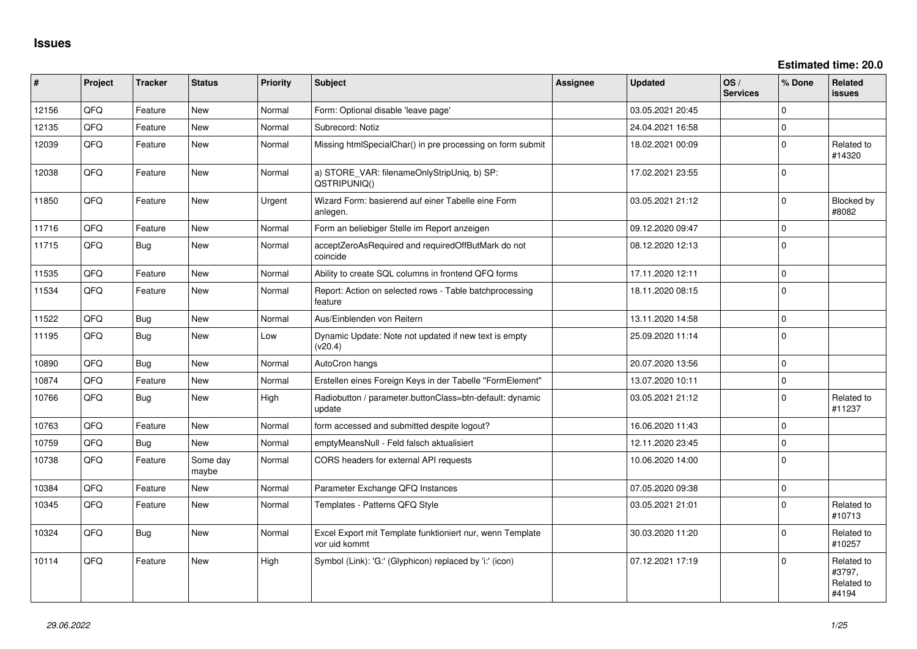**Estimated time: 20.0**

| #     | Project | <b>Tracker</b> | <b>Status</b>     | Priority | <b>Subject</b>                                                             | <b>Assignee</b> | Updated          | OS/<br><b>Services</b> | % Done         | Related<br><b>issues</b>                    |
|-------|---------|----------------|-------------------|----------|----------------------------------------------------------------------------|-----------------|------------------|------------------------|----------------|---------------------------------------------|
| 12156 | QFQ     | Feature        | <b>New</b>        | Normal   | Form: Optional disable 'leave page'                                        |                 | 03.05.2021 20:45 |                        | $\Omega$       |                                             |
| 12135 | QFQ     | Feature        | <b>New</b>        | Normal   | Subrecord: Notiz                                                           |                 | 24.04.2021 16:58 |                        | $\mathbf 0$    |                                             |
| 12039 | QFQ     | Feature        | <b>New</b>        | Normal   | Missing htmlSpecialChar() in pre processing on form submit                 |                 | 18.02.2021 00:09 |                        | $\Omega$       | Related to<br>#14320                        |
| 12038 | QFQ     | Feature        | <b>New</b>        | Normal   | a) STORE_VAR: filenameOnlyStripUniq, b) SP:<br>QSTRIPUNIQ()                |                 | 17.02.2021 23:55 |                        | $\Omega$       |                                             |
| 11850 | QFQ     | Feature        | <b>New</b>        | Urgent   | Wizard Form: basierend auf einer Tabelle eine Form<br>anlegen.             |                 | 03.05.2021 21:12 |                        | $\overline{0}$ | Blocked by<br>#8082                         |
| 11716 | QFQ     | Feature        | <b>New</b>        | Normal   | Form an beliebiger Stelle im Report anzeigen                               |                 | 09.12.2020 09:47 |                        | $\Omega$       |                                             |
| 11715 | QFQ     | <b>Bug</b>     | New               | Normal   | acceptZeroAsRequired and requiredOffButMark do not<br>coincide             |                 | 08.12.2020 12:13 |                        | 0              |                                             |
| 11535 | QFQ     | Feature        | <b>New</b>        | Normal   | Ability to create SQL columns in frontend QFQ forms                        |                 | 17.11.2020 12:11 |                        | $\mathbf 0$    |                                             |
| 11534 | QFQ     | Feature        | New               | Normal   | Report: Action on selected rows - Table batchprocessing<br>feature         |                 | 18.11.2020 08:15 |                        | $\Omega$       |                                             |
| 11522 | QFQ     | <b>Bug</b>     | <b>New</b>        | Normal   | Aus/Einblenden von Reitern                                                 |                 | 13.11.2020 14:58 |                        | $\mathbf 0$    |                                             |
| 11195 | QFQ     | <b>Bug</b>     | <b>New</b>        | Low      | Dynamic Update: Note not updated if new text is empty<br>(v20.4)           |                 | 25.09.2020 11:14 |                        | $\Omega$       |                                             |
| 10890 | QFQ     | <b>Bug</b>     | <b>New</b>        | Normal   | AutoCron hangs                                                             |                 | 20.07.2020 13:56 |                        | $\Omega$       |                                             |
| 10874 | QFQ     | Feature        | <b>New</b>        | Normal   | Erstellen eines Foreign Keys in der Tabelle "FormElement"                  |                 | 13.07.2020 10:11 |                        | $\Omega$       |                                             |
| 10766 | QFQ     | <b>Bug</b>     | <b>New</b>        | High     | Radiobutton / parameter.buttonClass=btn-default: dynamic<br>update         |                 | 03.05.2021 21:12 |                        | $\Omega$       | Related to<br>#11237                        |
| 10763 | QFQ     | Feature        | <b>New</b>        | Normal   | form accessed and submitted despite logout?                                |                 | 16.06.2020 11:43 |                        | $\overline{0}$ |                                             |
| 10759 | QFQ     | <b>Bug</b>     | <b>New</b>        | Normal   | emptyMeansNull - Feld falsch aktualisiert                                  |                 | 12.11.2020 23:45 |                        | $\mathbf{0}$   |                                             |
| 10738 | QFQ     | Feature        | Some day<br>maybe | Normal   | CORS headers for external API requests                                     |                 | 10.06.2020 14:00 |                        | $\Omega$       |                                             |
| 10384 | QFQ     | Feature        | New               | Normal   | Parameter Exchange QFQ Instances                                           |                 | 07.05.2020 09:38 |                        | $\Omega$       |                                             |
| 10345 | QFQ     | Feature        | New               | Normal   | Templates - Patterns QFQ Style                                             |                 | 03.05.2021 21:01 |                        | $\Omega$       | Related to<br>#10713                        |
| 10324 | QFQ     | <b>Bug</b>     | <b>New</b>        | Normal   | Excel Export mit Template funktioniert nur, wenn Template<br>vor uid kommt |                 | 30.03.2020 11:20 |                        | $\Omega$       | Related to<br>#10257                        |
| 10114 | QFQ     | Feature        | <b>New</b>        | High     | Symbol (Link): 'G:' (Glyphicon) replaced by 'i:' (icon)                    |                 | 07.12.2021 17:19 |                        | $\Omega$       | Related to<br>#3797,<br>Related to<br>#4194 |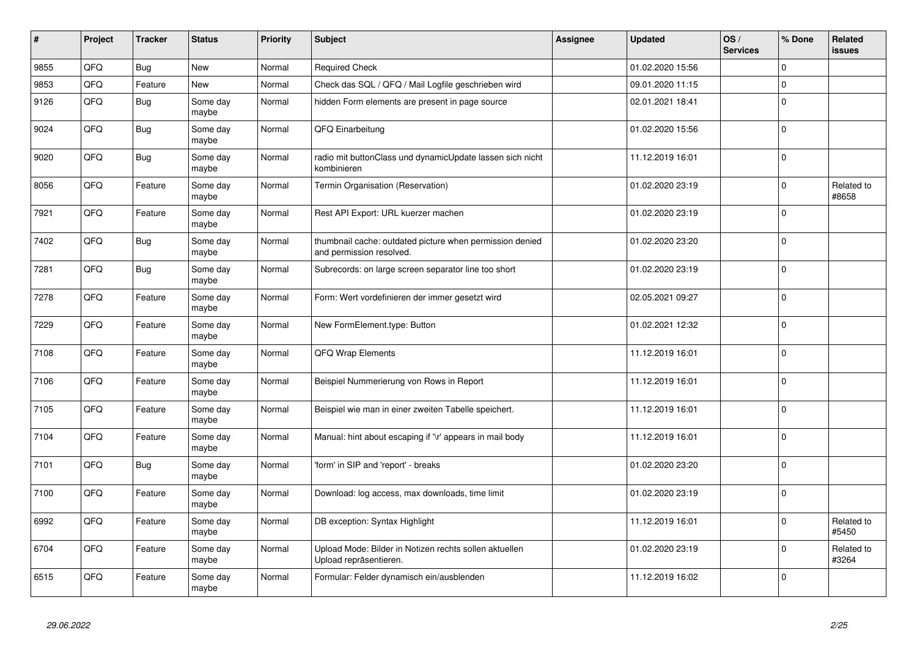| #    | Project | <b>Tracker</b> | <b>Status</b>     | <b>Priority</b> | <b>Subject</b>                                                                       | Assignee | <b>Updated</b>   | OS/<br><b>Services</b> | % Done         | Related<br>issues   |
|------|---------|----------------|-------------------|-----------------|--------------------------------------------------------------------------------------|----------|------------------|------------------------|----------------|---------------------|
| 9855 | QFQ     | Bug            | <b>New</b>        | Normal          | <b>Required Check</b>                                                                |          | 01.02.2020 15:56 |                        | $\Omega$       |                     |
| 9853 | QFQ     | Feature        | <b>New</b>        | Normal          | Check das SQL / QFQ / Mail Logfile geschrieben wird                                  |          | 09.01.2020 11:15 |                        | $\Omega$       |                     |
| 9126 | QFQ     | Bug            | Some day<br>maybe | Normal          | hidden Form elements are present in page source                                      |          | 02.01.2021 18:41 |                        | $\Omega$       |                     |
| 9024 | QFQ     | Bug            | Some day<br>maybe | Normal          | QFQ Einarbeitung                                                                     |          | 01.02.2020 15:56 |                        | $\Omega$       |                     |
| 9020 | QFQ     | <b>Bug</b>     | Some day<br>maybe | Normal          | radio mit buttonClass und dynamicUpdate lassen sich nicht<br>kombinieren             |          | 11.12.2019 16:01 |                        | $\Omega$       |                     |
| 8056 | QFQ     | Feature        | Some day<br>maybe | Normal          | Termin Organisation (Reservation)                                                    |          | 01.02.2020 23:19 |                        | $\mathbf 0$    | Related to<br>#8658 |
| 7921 | QFQ     | Feature        | Some day<br>maybe | Normal          | Rest API Export: URL kuerzer machen                                                  |          | 01.02.2020 23:19 |                        | $\Omega$       |                     |
| 7402 | QFQ     | Bug            | Some day<br>maybe | Normal          | thumbnail cache: outdated picture when permission denied<br>and permission resolved. |          | 01.02.2020 23:20 |                        | $\Omega$       |                     |
| 7281 | QFQ     | Bug            | Some day<br>maybe | Normal          | Subrecords: on large screen separator line too short                                 |          | 01.02.2020 23:19 |                        | $\Omega$       |                     |
| 7278 | QFQ     | Feature        | Some day<br>maybe | Normal          | Form: Wert vordefinieren der immer gesetzt wird                                      |          | 02.05.2021 09:27 |                        | $\mathbf 0$    |                     |
| 7229 | QFQ     | Feature        | Some day<br>maybe | Normal          | New FormElement.type: Button                                                         |          | 01.02.2021 12:32 |                        | $\Omega$       |                     |
| 7108 | QFQ     | Feature        | Some day<br>maybe | Normal          | QFQ Wrap Elements                                                                    |          | 11.12.2019 16:01 |                        | $\Omega$       |                     |
| 7106 | QFQ     | Feature        | Some day<br>maybe | Normal          | Beispiel Nummerierung von Rows in Report                                             |          | 11.12.2019 16:01 |                        | $\Omega$       |                     |
| 7105 | QFQ     | Feature        | Some day<br>maybe | Normal          | Beispiel wie man in einer zweiten Tabelle speichert.                                 |          | 11.12.2019 16:01 |                        | $\Omega$       |                     |
| 7104 | QFQ     | Feature        | Some day<br>maybe | Normal          | Manual: hint about escaping if '\r' appears in mail body                             |          | 11.12.2019 16:01 |                        | $\overline{0}$ |                     |
| 7101 | QFQ     | <b>Bug</b>     | Some day<br>maybe | Normal          | 'form' in SIP and 'report' - breaks                                                  |          | 01.02.2020 23:20 |                        | $\mathbf 0$    |                     |
| 7100 | QFQ     | Feature        | Some day<br>maybe | Normal          | Download: log access, max downloads, time limit                                      |          | 01.02.2020 23:19 |                        | $\Omega$       |                     |
| 6992 | QFQ     | Feature        | Some day<br>maybe | Normal          | DB exception: Syntax Highlight                                                       |          | 11.12.2019 16:01 |                        | $\Omega$       | Related to<br>#5450 |
| 6704 | QFQ     | Feature        | Some day<br>maybe | Normal          | Upload Mode: Bilder in Notizen rechts sollen aktuellen<br>Upload repräsentieren.     |          | 01.02.2020 23:19 |                        | $\mathbf 0$    | Related to<br>#3264 |
| 6515 | QFQ     | Feature        | Some day<br>maybe | Normal          | Formular: Felder dynamisch ein/ausblenden                                            |          | 11.12.2019 16:02 |                        | $\mathbf 0$    |                     |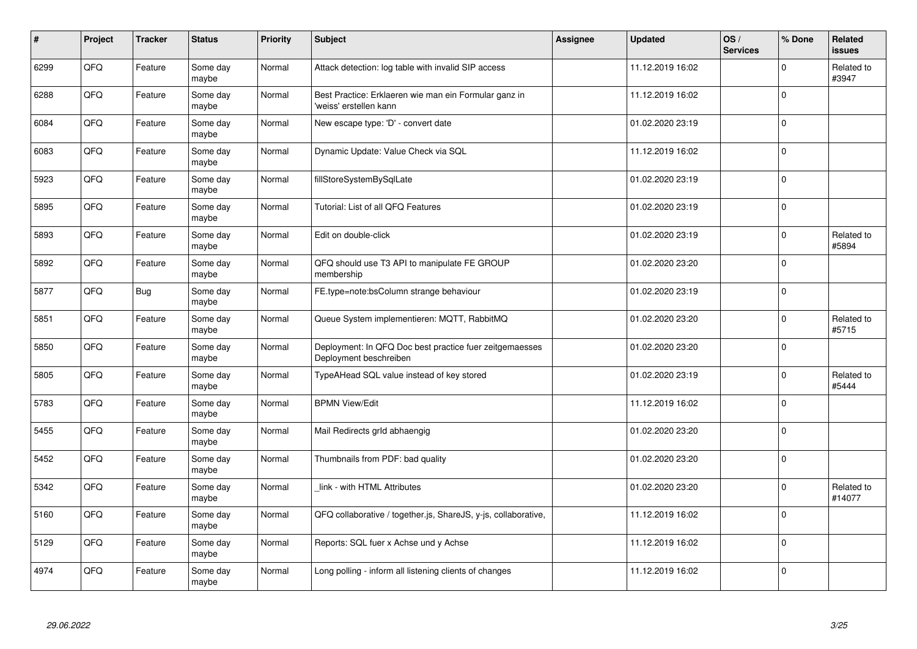| #    | Project | <b>Tracker</b> | <b>Status</b>     | <b>Priority</b> | <b>Subject</b>                                                                    | Assignee | <b>Updated</b>   | OS/<br><b>Services</b> | % Done      | Related<br><b>issues</b> |
|------|---------|----------------|-------------------|-----------------|-----------------------------------------------------------------------------------|----------|------------------|------------------------|-------------|--------------------------|
| 6299 | QFQ     | Feature        | Some day<br>maybe | Normal          | Attack detection: log table with invalid SIP access                               |          | 11.12.2019 16:02 |                        | $\Omega$    | Related to<br>#3947      |
| 6288 | QFQ     | Feature        | Some day<br>maybe | Normal          | Best Practice: Erklaeren wie man ein Formular ganz in<br>'weiss' erstellen kann   |          | 11.12.2019 16:02 |                        | $\Omega$    |                          |
| 6084 | QFQ     | Feature        | Some day<br>maybe | Normal          | New escape type: 'D' - convert date                                               |          | 01.02.2020 23:19 |                        | $\Omega$    |                          |
| 6083 | QFQ     | Feature        | Some day<br>maybe | Normal          | Dynamic Update: Value Check via SQL                                               |          | 11.12.2019 16:02 |                        | $\Omega$    |                          |
| 5923 | QFQ     | Feature        | Some day<br>maybe | Normal          | fillStoreSystemBySqlLate                                                          |          | 01.02.2020 23:19 |                        | $\mathbf 0$ |                          |
| 5895 | QFQ     | Feature        | Some day<br>maybe | Normal          | Tutorial: List of all QFQ Features                                                |          | 01.02.2020 23:19 |                        | $\Omega$    |                          |
| 5893 | QFQ     | Feature        | Some day<br>maybe | Normal          | Edit on double-click                                                              |          | 01.02.2020 23:19 |                        | $\Omega$    | Related to<br>#5894      |
| 5892 | QFQ     | Feature        | Some day<br>maybe | Normal          | QFQ should use T3 API to manipulate FE GROUP<br>membership                        |          | 01.02.2020 23:20 |                        | $\Omega$    |                          |
| 5877 | QFQ     | Bug            | Some day<br>maybe | Normal          | FE.type=note:bsColumn strange behaviour                                           |          | 01.02.2020 23:19 |                        | $\Omega$    |                          |
| 5851 | QFQ     | Feature        | Some day<br>maybe | Normal          | Queue System implementieren: MQTT, RabbitMQ                                       |          | 01.02.2020 23:20 |                        | $\Omega$    | Related to<br>#5715      |
| 5850 | QFQ     | Feature        | Some day<br>maybe | Normal          | Deployment: In QFQ Doc best practice fuer zeitgemaesses<br>Deployment beschreiben |          | 01.02.2020 23:20 |                        | $\mathbf 0$ |                          |
| 5805 | QFQ     | Feature        | Some day<br>maybe | Normal          | TypeAHead SQL value instead of key stored                                         |          | 01.02.2020 23:19 |                        | $\Omega$    | Related to<br>#5444      |
| 5783 | QFQ     | Feature        | Some day<br>maybe | Normal          | <b>BPMN View/Edit</b>                                                             |          | 11.12.2019 16:02 |                        | $\Omega$    |                          |
| 5455 | QFQ     | Feature        | Some day<br>maybe | Normal          | Mail Redirects grld abhaengig                                                     |          | 01.02.2020 23:20 |                        | $\mathbf 0$ |                          |
| 5452 | QFQ     | Feature        | Some day<br>maybe | Normal          | Thumbnails from PDF: bad quality                                                  |          | 01.02.2020 23:20 |                        | $\Omega$    |                          |
| 5342 | QFQ     | Feature        | Some day<br>maybe | Normal          | link - with HTML Attributes                                                       |          | 01.02.2020 23:20 |                        | $\Omega$    | Related to<br>#14077     |
| 5160 | QFQ     | Feature        | Some day<br>maybe | Normal          | QFQ collaborative / together.js, ShareJS, y-js, collaborative,                    |          | 11.12.2019 16:02 |                        | $\Omega$    |                          |
| 5129 | QFQ     | Feature        | Some day<br>maybe | Normal          | Reports: SQL fuer x Achse und y Achse                                             |          | 11.12.2019 16:02 |                        | 0           |                          |
| 4974 | QFQ     | Feature        | Some day<br>maybe | Normal          | Long polling - inform all listening clients of changes                            |          | 11.12.2019 16:02 |                        | $\Omega$    |                          |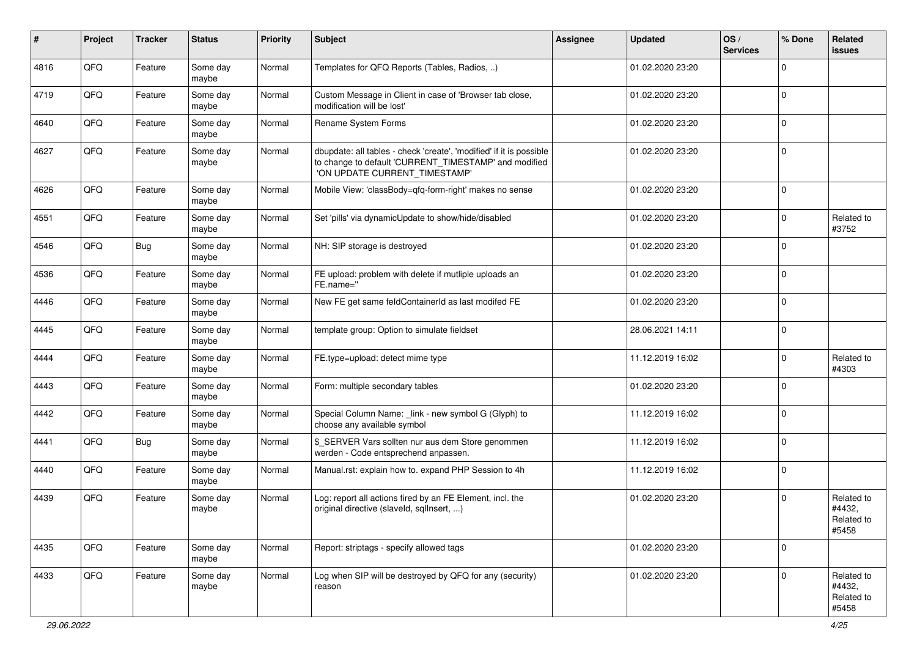| #    | Project | <b>Tracker</b> | <b>Status</b>     | <b>Priority</b> | <b>Subject</b>                                                                                                                                                | Assignee | <b>Updated</b>   | OS/<br><b>Services</b> | % Done      | Related<br><b>issues</b>                    |
|------|---------|----------------|-------------------|-----------------|---------------------------------------------------------------------------------------------------------------------------------------------------------------|----------|------------------|------------------------|-------------|---------------------------------------------|
| 4816 | QFQ     | Feature        | Some day<br>maybe | Normal          | Templates for QFQ Reports (Tables, Radios, )                                                                                                                  |          | 01.02.2020 23:20 |                        | $\Omega$    |                                             |
| 4719 | QFQ     | Feature        | Some day<br>maybe | Normal          | Custom Message in Client in case of 'Browser tab close,<br>modification will be lost'                                                                         |          | 01.02.2020 23:20 |                        | $\mathbf 0$ |                                             |
| 4640 | QFQ     | Feature        | Some day<br>maybe | Normal          | Rename System Forms                                                                                                                                           |          | 01.02.2020 23:20 |                        | $\Omega$    |                                             |
| 4627 | QFQ     | Feature        | Some day<br>maybe | Normal          | dbupdate: all tables - check 'create', 'modified' if it is possible<br>to change to default 'CURRENT_TIMESTAMP' and modified<br>'ON UPDATE CURRENT_TIMESTAMP' |          | 01.02.2020 23:20 |                        | $\mathbf 0$ |                                             |
| 4626 | QFQ     | Feature        | Some day<br>maybe | Normal          | Mobile View: 'classBody=qfq-form-right' makes no sense                                                                                                        |          | 01.02.2020 23:20 |                        | $\mathbf 0$ |                                             |
| 4551 | QFQ     | Feature        | Some day<br>maybe | Normal          | Set 'pills' via dynamicUpdate to show/hide/disabled                                                                                                           |          | 01.02.2020 23:20 |                        | 0           | Related to<br>#3752                         |
| 4546 | QFQ     | <b>Bug</b>     | Some day<br>maybe | Normal          | NH: SIP storage is destroyed                                                                                                                                  |          | 01.02.2020 23:20 |                        | $\Omega$    |                                             |
| 4536 | QFQ     | Feature        | Some day<br>maybe | Normal          | FE upload: problem with delete if mutliple uploads an<br>FE.name="                                                                                            |          | 01.02.2020 23:20 |                        | $\Omega$    |                                             |
| 4446 | QFQ     | Feature        | Some day<br>maybe | Normal          | New FE get same feldContainerId as last modifed FE                                                                                                            |          | 01.02.2020 23:20 |                        | $\Omega$    |                                             |
| 4445 | QFQ     | Feature        | Some day<br>maybe | Normal          | template group: Option to simulate fieldset                                                                                                                   |          | 28.06.2021 14:11 |                        | $\mathbf 0$ |                                             |
| 4444 | QFQ     | Feature        | Some day<br>maybe | Normal          | FE.type=upload: detect mime type                                                                                                                              |          | 11.12.2019 16:02 |                        | $\Omega$    | Related to<br>#4303                         |
| 4443 | QFQ     | Feature        | Some day<br>maybe | Normal          | Form: multiple secondary tables                                                                                                                               |          | 01.02.2020 23:20 |                        | $\Omega$    |                                             |
| 4442 | QFQ     | Feature        | Some day<br>maybe | Normal          | Special Column Name: _link - new symbol G (Glyph) to<br>choose any available symbol                                                                           |          | 11.12.2019 16:02 |                        | $\Omega$    |                                             |
| 4441 | QFQ     | <b>Bug</b>     | Some day<br>maybe | Normal          | \$ SERVER Vars sollten nur aus dem Store genommen<br>werden - Code entsprechend anpassen.                                                                     |          | 11.12.2019 16:02 |                        | $\Omega$    |                                             |
| 4440 | QFQ     | Feature        | Some day<br>maybe | Normal          | Manual.rst: explain how to. expand PHP Session to 4h                                                                                                          |          | 11.12.2019 16:02 |                        | $\Omega$    |                                             |
| 4439 | QFQ     | Feature        | Some day<br>maybe | Normal          | Log: report all actions fired by an FE Element, incl. the<br>original directive (slaveld, sqlInsert, )                                                        |          | 01.02.2020 23:20 |                        | $\Omega$    | Related to<br>#4432,<br>Related to<br>#5458 |
| 4435 | QFQ     | Feature        | Some day<br>maybe | Normal          | Report: striptags - specify allowed tags                                                                                                                      |          | 01.02.2020 23:20 |                        | $\Omega$    |                                             |
| 4433 | QFQ     | Feature        | Some day<br>maybe | Normal          | Log when SIP will be destroyed by QFQ for any (security)<br>reason                                                                                            |          | 01.02.2020 23:20 |                        | $\Omega$    | Related to<br>#4432,<br>Related to<br>#5458 |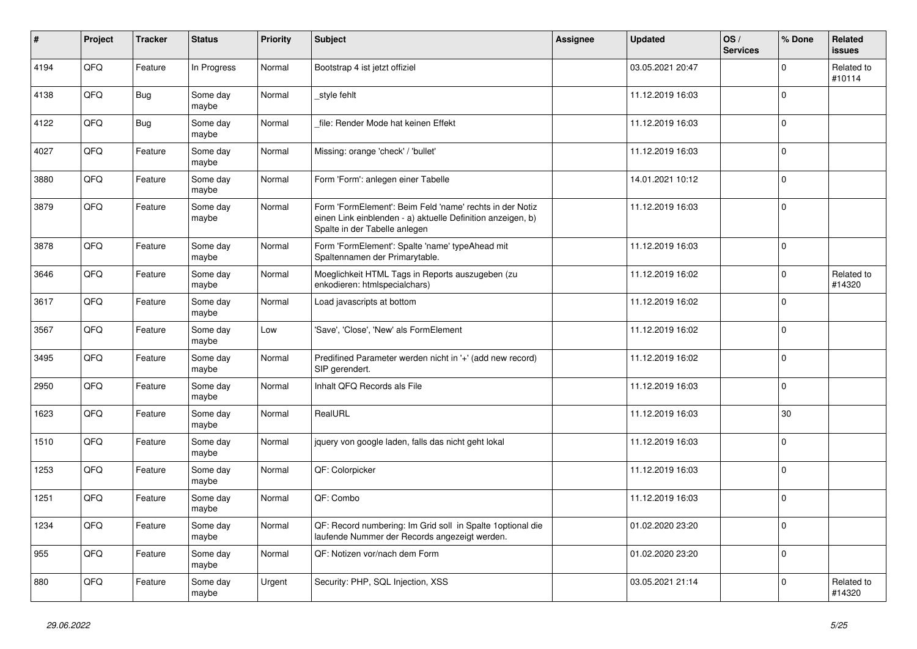| $\vert$ # | Project | <b>Tracker</b> | <b>Status</b>     | <b>Priority</b> | <b>Subject</b>                                                                                                                                           | Assignee | <b>Updated</b>   | OS/<br><b>Services</b> | % Done      | Related<br><b>issues</b> |
|-----------|---------|----------------|-------------------|-----------------|----------------------------------------------------------------------------------------------------------------------------------------------------------|----------|------------------|------------------------|-------------|--------------------------|
| 4194      | QFQ     | Feature        | In Progress       | Normal          | Bootstrap 4 ist jetzt offiziel                                                                                                                           |          | 03.05.2021 20:47 |                        | $\Omega$    | Related to<br>#10114     |
| 4138      | QFQ     | <b>Bug</b>     | Some day<br>maybe | Normal          | style fehlt                                                                                                                                              |          | 11.12.2019 16:03 |                        | $\mathbf 0$ |                          |
| 4122      | QFQ     | <b>Bug</b>     | Some day<br>maybe | Normal          | file: Render Mode hat keinen Effekt                                                                                                                      |          | 11.12.2019 16:03 |                        | $\Omega$    |                          |
| 4027      | QFQ     | Feature        | Some day<br>maybe | Normal          | Missing: orange 'check' / 'bullet'                                                                                                                       |          | 11.12.2019 16:03 |                        | $\Omega$    |                          |
| 3880      | QFQ     | Feature        | Some day<br>maybe | Normal          | Form 'Form': anlegen einer Tabelle                                                                                                                       |          | 14.01.2021 10:12 |                        | $\Omega$    |                          |
| 3879      | QFQ     | Feature        | Some day<br>maybe | Normal          | Form 'FormElement': Beim Feld 'name' rechts in der Notiz<br>einen Link einblenden - a) aktuelle Definition anzeigen, b)<br>Spalte in der Tabelle anlegen |          | 11.12.2019 16:03 |                        | $\Omega$    |                          |
| 3878      | QFQ     | Feature        | Some day<br>maybe | Normal          | Form 'FormElement': Spalte 'name' typeAhead mit<br>Spaltennamen der Primarytable.                                                                        |          | 11.12.2019 16:03 |                        | $\Omega$    |                          |
| 3646      | QFQ     | Feature        | Some day<br>maybe | Normal          | Moeglichkeit HTML Tags in Reports auszugeben (zu<br>enkodieren: htmlspecialchars)                                                                        |          | 11.12.2019 16:02 |                        | $\Omega$    | Related to<br>#14320     |
| 3617      | QFQ     | Feature        | Some day<br>maybe | Normal          | Load javascripts at bottom                                                                                                                               |          | 11.12.2019 16:02 |                        | $\Omega$    |                          |
| 3567      | QFQ     | Feature        | Some day<br>maybe | Low             | 'Save', 'Close', 'New' als FormElement                                                                                                                   |          | 11.12.2019 16:02 |                        | $\Omega$    |                          |
| 3495      | QFQ     | Feature        | Some day<br>maybe | Normal          | Predifined Parameter werden nicht in '+' (add new record)<br>SIP gerendert.                                                                              |          | 11.12.2019 16:02 |                        | $\Omega$    |                          |
| 2950      | QFQ     | Feature        | Some day<br>maybe | Normal          | Inhalt QFQ Records als File                                                                                                                              |          | 11.12.2019 16:03 |                        | $\Omega$    |                          |
| 1623      | QFQ     | Feature        | Some day<br>maybe | Normal          | RealURL                                                                                                                                                  |          | 11.12.2019 16:03 |                        | 30          |                          |
| 1510      | QFQ     | Feature        | Some day<br>maybe | Normal          | jquery von google laden, falls das nicht geht lokal                                                                                                      |          | 11.12.2019 16:03 |                        | $\Omega$    |                          |
| 1253      | QFQ     | Feature        | Some day<br>maybe | Normal          | QF: Colorpicker                                                                                                                                          |          | 11.12.2019 16:03 |                        | $\Omega$    |                          |
| 1251      | QFQ     | Feature        | Some day<br>maybe | Normal          | QF: Combo                                                                                                                                                |          | 11.12.2019 16:03 |                        | $\mathbf 0$ |                          |
| 1234      | QFQ     | Feature        | Some day<br>maybe | Normal          | QF: Record numbering: Im Grid soll in Spalte 1optional die<br>laufende Nummer der Records angezeigt werden.                                              |          | 01.02.2020 23:20 |                        | $\Omega$    |                          |
| 955       | QFQ     | Feature        | Some day<br>maybe | Normal          | QF: Notizen vor/nach dem Form                                                                                                                            |          | 01.02.2020 23:20 |                        | $\Omega$    |                          |
| 880       | QFQ     | Feature        | Some day<br>maybe | Urgent          | Security: PHP, SQL Injection, XSS                                                                                                                        |          | 03.05.2021 21:14 |                        | $\Omega$    | Related to<br>#14320     |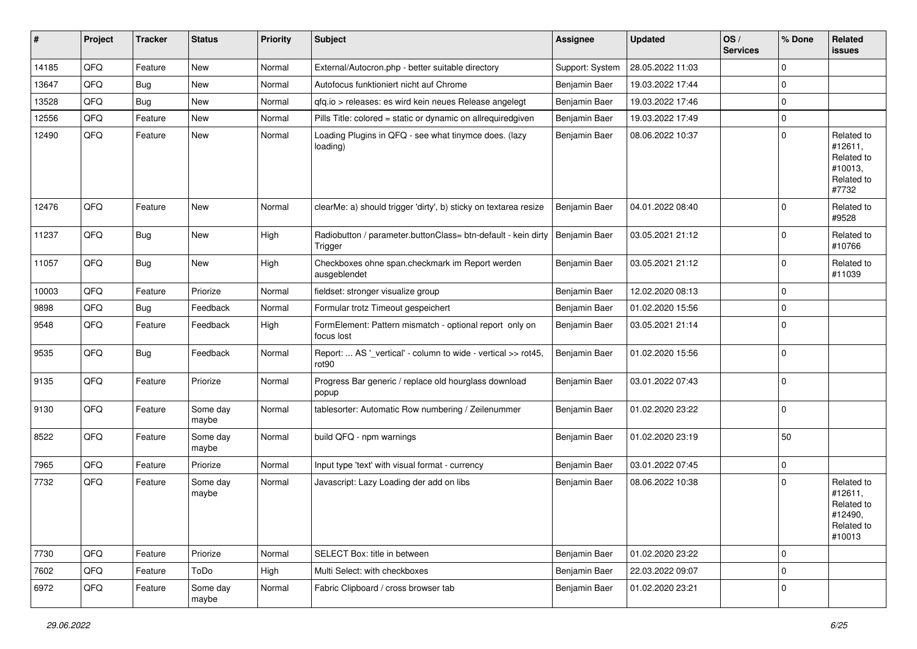| #     | Project | <b>Tracker</b> | <b>Status</b>     | <b>Priority</b> | Subject                                                                            | <b>Assignee</b> | <b>Updated</b>   | OS/<br><b>Services</b> | % Done      | Related<br>issues                                                      |
|-------|---------|----------------|-------------------|-----------------|------------------------------------------------------------------------------------|-----------------|------------------|------------------------|-------------|------------------------------------------------------------------------|
| 14185 | QFQ     | Feature        | New               | Normal          | External/Autocron.php - better suitable directory                                  | Support: System | 28.05.2022 11:03 |                        | $\mathbf 0$ |                                                                        |
| 13647 | QFQ     | <b>Bug</b>     | New               | Normal          | Autofocus funktioniert nicht auf Chrome                                            | Benjamin Baer   | 19.03.2022 17:44 |                        | $\mathbf 0$ |                                                                        |
| 13528 | QFQ     | <b>Bug</b>     | New               | Normal          | gfg.io > releases: es wird kein neues Release angelegt                             | Benjamin Baer   | 19.03.2022 17:46 |                        | $\mathbf 0$ |                                                                        |
| 12556 | QFQ     | Feature        | New               | Normal          | Pills Title: colored = static or dynamic on allrequiredgiven                       | Benjamin Baer   | 19.03.2022 17:49 |                        | $\mathbf 0$ |                                                                        |
| 12490 | QFQ     | Feature        | New               | Normal          | Loading Plugins in QFQ - see what tinymce does. (lazy<br>loading)                  | Benjamin Baer   | 08.06.2022 10:37 |                        | $\mathbf 0$ | Related to<br>#12611,<br>Related to<br>#10013,<br>Related to<br>#7732  |
| 12476 | QFQ     | Feature        | New               | Normal          | clearMe: a) should trigger 'dirty', b) sticky on textarea resize                   | Benjamin Baer   | 04.01.2022 08:40 |                        | $\Omega$    | Related to<br>#9528                                                    |
| 11237 | QFQ     | Bug            | New               | High            | Radiobutton / parameter.buttonClass= btn-default - kein dirty<br>Trigger           | Benjamin Baer   | 03.05.2021 21:12 |                        | $\mathbf 0$ | Related to<br>#10766                                                   |
| 11057 | QFQ     | <b>Bug</b>     | New               | High            | Checkboxes ohne span.checkmark im Report werden<br>ausgeblendet                    | Benjamin Baer   | 03.05.2021 21:12 |                        | $\mathbf 0$ | Related to<br>#11039                                                   |
| 10003 | QFQ     | Feature        | Priorize          | Normal          | fieldset: stronger visualize group                                                 | Benjamin Baer   | 12.02.2020 08:13 |                        | $\mathbf 0$ |                                                                        |
| 9898  | QFQ     | <b>Bug</b>     | Feedback          | Normal          | Formular trotz Timeout gespeichert                                                 | Benjamin Baer   | 01.02.2020 15:56 |                        | $\mathbf 0$ |                                                                        |
| 9548  | QFQ     | Feature        | Feedback          | High            | FormElement: Pattern mismatch - optional report only on<br>focus lost              | Benjamin Baer   | 03.05.2021 21:14 |                        | $\mathbf 0$ |                                                                        |
| 9535  | QFQ     | <b>Bug</b>     | Feedback          | Normal          | Report:  AS '_vertical' - column to wide - vertical >> rot45,<br>rot <sub>90</sub> | Benjamin Baer   | 01.02.2020 15:56 |                        | $\mathbf 0$ |                                                                        |
| 9135  | QFQ     | Feature        | Priorize          | Normal          | Progress Bar generic / replace old hourglass download<br>popup                     | Benjamin Baer   | 03.01.2022 07:43 |                        | $\mathbf 0$ |                                                                        |
| 9130  | QFQ     | Feature        | Some day<br>maybe | Normal          | tablesorter: Automatic Row numbering / Zeilenummer                                 | Benjamin Baer   | 01.02.2020 23:22 |                        | $\mathbf 0$ |                                                                        |
| 8522  | QFQ     | Feature        | Some day<br>maybe | Normal          | build QFQ - npm warnings                                                           | Benjamin Baer   | 01.02.2020 23:19 |                        | 50          |                                                                        |
| 7965  | QFQ     | Feature        | Priorize          | Normal          | Input type 'text' with visual format - currency                                    | Benjamin Baer   | 03.01.2022 07:45 |                        | $\mathbf 0$ |                                                                        |
| 7732  | QFQ     | Feature        | Some day<br>maybe | Normal          | Javascript: Lazy Loading der add on libs                                           | Benjamin Baer   | 08.06.2022 10:38 |                        | $\mathbf 0$ | Related to<br>#12611,<br>Related to<br>#12490,<br>Related to<br>#10013 |
| 7730  | QFQ     | Feature        | Priorize          | Normal          | SELECT Box: title in between                                                       | Benjamin Baer   | 01.02.2020 23:22 |                        | $\mathbf 0$ |                                                                        |
| 7602  | QFQ     | Feature        | ToDo              | High            | Multi Select: with checkboxes                                                      | Benjamin Baer   | 22.03.2022 09:07 |                        | $\mathbf 0$ |                                                                        |
| 6972  | QFQ     | Feature        | Some day<br>maybe | Normal          | Fabric Clipboard / cross browser tab                                               | Benjamin Baer   | 01.02.2020 23:21 |                        | $\mathbf 0$ |                                                                        |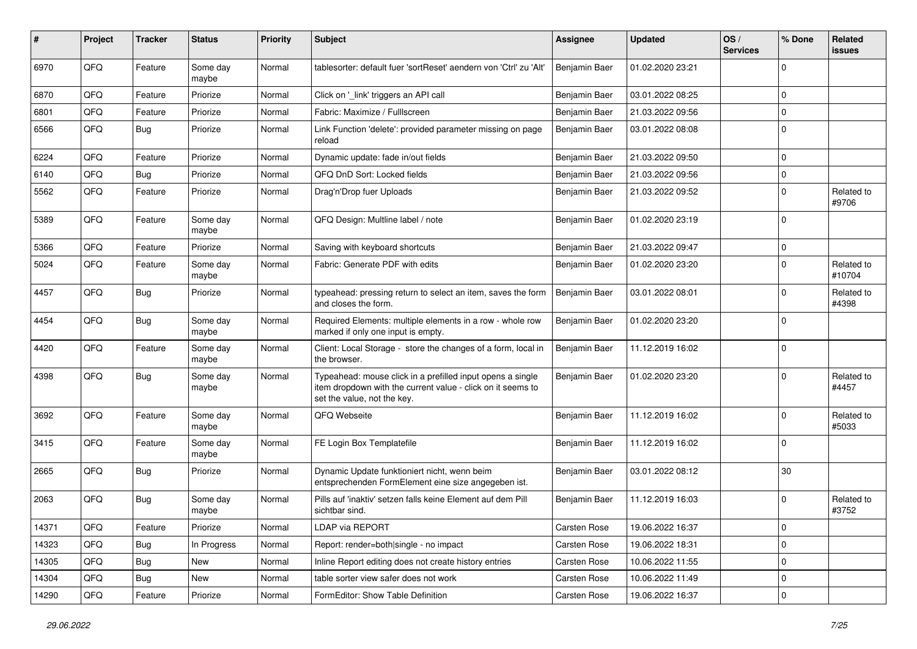| #     | Project | <b>Tracker</b> | <b>Status</b>     | <b>Priority</b> | Subject                                                                                                                                                  | <b>Assignee</b> | <b>Updated</b>   | OS/<br><b>Services</b> | % Done       | Related<br>issues    |
|-------|---------|----------------|-------------------|-----------------|----------------------------------------------------------------------------------------------------------------------------------------------------------|-----------------|------------------|------------------------|--------------|----------------------|
| 6970  | QFQ     | Feature        | Some day<br>maybe | Normal          | tablesorter: default fuer 'sortReset' aendern von 'Ctrl' zu 'Alt'                                                                                        | Benjamin Baer   | 01.02.2020 23:21 |                        | $\Omega$     |                      |
| 6870  | QFQ     | Feature        | Priorize          | Normal          | Click on '_link' triggers an API call                                                                                                                    | Benjamin Baer   | 03.01.2022 08:25 |                        | $\mathbf 0$  |                      |
| 6801  | QFQ     | Feature        | Priorize          | Normal          | Fabric: Maximize / Fulllscreen                                                                                                                           | Benjamin Baer   | 21.03.2022 09:56 |                        | $\Omega$     |                      |
| 6566  | QFQ     | Bug            | Priorize          | Normal          | Link Function 'delete': provided parameter missing on page<br>reload                                                                                     | Benjamin Baer   | 03.01.2022 08:08 |                        | $\Omega$     |                      |
| 6224  | QFQ     | Feature        | Priorize          | Normal          | Dynamic update: fade in/out fields                                                                                                                       | Benjamin Baer   | 21.03.2022 09:50 |                        | $\mathbf 0$  |                      |
| 6140  | QFQ     | Bug            | Priorize          | Normal          | QFQ DnD Sort: Locked fields                                                                                                                              | Benjamin Baer   | 21.03.2022 09:56 |                        | $\mathbf 0$  |                      |
| 5562  | QFQ     | Feature        | Priorize          | Normal          | Drag'n'Drop fuer Uploads                                                                                                                                 | Benjamin Baer   | 21.03.2022 09:52 |                        | 0            | Related to<br>#9706  |
| 5389  | QFQ     | Feature        | Some day<br>maybe | Normal          | QFQ Design: Multline label / note                                                                                                                        | Benjamin Baer   | 01.02.2020 23:19 |                        | $\mathbf{0}$ |                      |
| 5366  | QFQ     | Feature        | Priorize          | Normal          | Saving with keyboard shortcuts                                                                                                                           | Benjamin Baer   | 21.03.2022 09:47 |                        | $\mathbf 0$  |                      |
| 5024  | QFQ     | Feature        | Some day<br>maybe | Normal          | Fabric: Generate PDF with edits                                                                                                                          | Benjamin Baer   | 01.02.2020 23:20 |                        | $\Omega$     | Related to<br>#10704 |
| 4457  | QFQ     | Bug            | Priorize          | Normal          | typeahead: pressing return to select an item, saves the form<br>and closes the form.                                                                     | Benjamin Baer   | 03.01.2022 08:01 |                        | $\Omega$     | Related to<br>#4398  |
| 4454  | QFQ     | Bug            | Some day<br>maybe | Normal          | Required Elements: multiple elements in a row - whole row<br>marked if only one input is empty.                                                          | Benjamin Baer   | 01.02.2020 23:20 |                        | $\mathbf{0}$ |                      |
| 4420  | QFQ     | Feature        | Some day<br>maybe | Normal          | Client: Local Storage - store the changes of a form, local in<br>the browser.                                                                            | Benjamin Baer   | 11.12.2019 16:02 |                        | $\mathbf 0$  |                      |
| 4398  | QFQ     | Bug            | Some day<br>maybe | Normal          | Typeahead: mouse click in a prefilled input opens a single<br>item dropdown with the current value - click on it seems to<br>set the value, not the key. | Benjamin Baer   | 01.02.2020 23:20 |                        | $\mathbf{0}$ | Related to<br>#4457  |
| 3692  | QFQ     | Feature        | Some day<br>maybe | Normal          | QFQ Webseite                                                                                                                                             | Benjamin Baer   | 11.12.2019 16:02 |                        | $\Omega$     | Related to<br>#5033  |
| 3415  | QFQ     | Feature        | Some day<br>maybe | Normal          | FE Login Box Templatefile                                                                                                                                | Benjamin Baer   | 11.12.2019 16:02 |                        | $\Omega$     |                      |
| 2665  | QFQ     | Bug            | Priorize          | Normal          | Dynamic Update funktioniert nicht, wenn beim<br>entsprechenden FormElement eine size angegeben ist.                                                      | Benjamin Baer   | 03.01.2022 08:12 |                        | 30           |                      |
| 2063  | QFQ     | <b>Bug</b>     | Some day<br>maybe | Normal          | Pills auf 'inaktiv' setzen falls keine Element auf dem Pill<br>sichtbar sind.                                                                            | Benjamin Baer   | 11.12.2019 16:03 |                        | $\mathbf 0$  | Related to<br>#3752  |
| 14371 | QFQ     | Feature        | Priorize          | Normal          | LDAP via REPORT                                                                                                                                          | Carsten Rose    | 19.06.2022 16:37 |                        | 0            |                      |
| 14323 | QFQ     | <b>Bug</b>     | In Progress       | Normal          | Report: render=both single - no impact                                                                                                                   | Carsten Rose    | 19.06.2022 18:31 |                        | $\mathbf 0$  |                      |
| 14305 | QFQ     | <b>Bug</b>     | New               | Normal          | Inline Report editing does not create history entries                                                                                                    | Carsten Rose    | 10.06.2022 11:55 |                        | 0            |                      |
| 14304 | QFQ     | <b>Bug</b>     | New               | Normal          | table sorter view safer does not work                                                                                                                    | Carsten Rose    | 10.06.2022 11:49 |                        | $\mathbf 0$  |                      |
| 14290 | QFQ     | Feature        | Priorize          | Normal          | FormEditor: Show Table Definition                                                                                                                        | Carsten Rose    | 19.06.2022 16:37 |                        | $\mathbf 0$  |                      |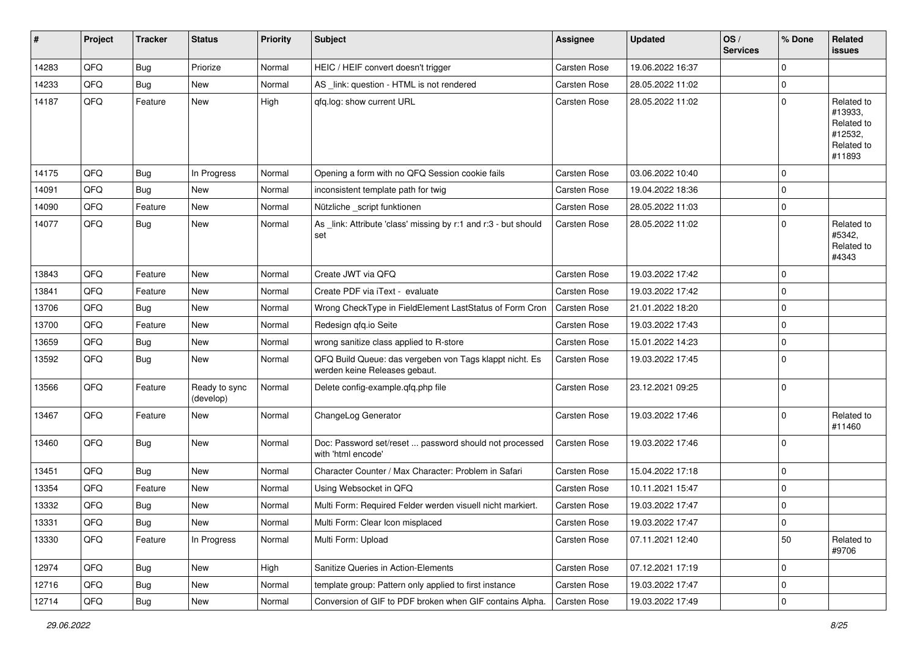| $\sharp$ | Project | <b>Tracker</b> | <b>Status</b>              | <b>Priority</b> | <b>Subject</b>                                                                           | <b>Assignee</b>     | <b>Updated</b>   | OS/<br><b>Services</b> | % Done         | <b>Related</b><br>issues                                               |
|----------|---------|----------------|----------------------------|-----------------|------------------------------------------------------------------------------------------|---------------------|------------------|------------------------|----------------|------------------------------------------------------------------------|
| 14283    | QFQ     | Bug            | Priorize                   | Normal          | HEIC / HEIF convert doesn't trigger                                                      | Carsten Rose        | 19.06.2022 16:37 |                        | $\Omega$       |                                                                        |
| 14233    | QFQ     | Bug            | New                        | Normal          | AS _link: question - HTML is not rendered                                                | Carsten Rose        | 28.05.2022 11:02 |                        | 0              |                                                                        |
| 14187    | QFQ     | Feature        | New                        | High            | qfq.log: show current URL                                                                | Carsten Rose        | 28.05.2022 11:02 |                        | $\Omega$       | Related to<br>#13933,<br>Related to<br>#12532,<br>Related to<br>#11893 |
| 14175    | QFQ     | Bug            | In Progress                | Normal          | Opening a form with no QFQ Session cookie fails                                          | Carsten Rose        | 03.06.2022 10:40 |                        | $\Omega$       |                                                                        |
| 14091    | QFQ     | Bug            | New                        | Normal          | inconsistent template path for twig                                                      | Carsten Rose        | 19.04.2022 18:36 |                        | $\mathbf 0$    |                                                                        |
| 14090    | QFQ     | Feature        | New                        | Normal          | Nützliche _script funktionen                                                             | Carsten Rose        | 28.05.2022 11:03 |                        | $\mathbf 0$    |                                                                        |
| 14077    | QFQ     | <b>Bug</b>     | <b>New</b>                 | Normal          | As _link: Attribute 'class' missing by r:1 and r:3 - but should<br>set                   | Carsten Rose        | 28.05.2022 11:02 |                        | $\Omega$       | Related to<br>#5342,<br>Related to<br>#4343                            |
| 13843    | QFQ     | Feature        | <b>New</b>                 | Normal          | Create JWT via QFQ                                                                       | Carsten Rose        | 19.03.2022 17:42 |                        | $\Omega$       |                                                                        |
| 13841    | QFQ     | Feature        | <b>New</b>                 | Normal          | Create PDF via iText - evaluate                                                          | Carsten Rose        | 19.03.2022 17:42 |                        | $\Omega$       |                                                                        |
| 13706    | QFQ     | Bug            | New                        | Normal          | Wrong CheckType in FieldElement LastStatus of Form Cron                                  | <b>Carsten Rose</b> | 21.01.2022 18:20 |                        | $\mathbf 0$    |                                                                        |
| 13700    | QFQ     | Feature        | <b>New</b>                 | Normal          | Redesign qfq.io Seite                                                                    | <b>Carsten Rose</b> | 19.03.2022 17:43 |                        | $\Omega$       |                                                                        |
| 13659    | QFQ     | Bug            | <b>New</b>                 | Normal          | wrong sanitize class applied to R-store                                                  | Carsten Rose        | 15.01.2022 14:23 |                        | 0              |                                                                        |
| 13592    | QFQ     | Bug            | New                        | Normal          | QFQ Build Queue: das vergeben von Tags klappt nicht. Es<br>werden keine Releases gebaut. | Carsten Rose        | 19.03.2022 17:45 |                        | $\Omega$       |                                                                        |
| 13566    | QFQ     | Feature        | Ready to sync<br>(develop) | Normal          | Delete config-example.qfq.php file                                                       | Carsten Rose        | 23.12.2021 09:25 |                        | $\Omega$       |                                                                        |
| 13467    | QFQ     | Feature        | New                        | Normal          | ChangeLog Generator                                                                      | Carsten Rose        | 19.03.2022 17:46 |                        | $\Omega$       | Related to<br>#11460                                                   |
| 13460    | QFQ     | Bug            | New                        | Normal          | Doc: Password set/reset  password should not processed<br>with 'html encode'             | Carsten Rose        | 19.03.2022 17:46 |                        | $\Omega$       |                                                                        |
| 13451    | QFQ     | Bug            | New                        | Normal          | Character Counter / Max Character: Problem in Safari                                     | Carsten Rose        | 15.04.2022 17:18 |                        | $\mathbf 0$    |                                                                        |
| 13354    | QFQ     | Feature        | New                        | Normal          | Using Websocket in QFQ                                                                   | <b>Carsten Rose</b> | 10.11.2021 15:47 |                        | $\Omega$       |                                                                        |
| 13332    | QFQ     | <b>Bug</b>     | New                        | Normal          | Multi Form: Required Felder werden visuell nicht markiert.                               | Carsten Rose        | 19.03.2022 17:47 |                        | $\Omega$       |                                                                        |
| 13331    | QFQ     | Bug            | New                        | Normal          | Multi Form: Clear Icon misplaced                                                         | Carsten Rose        | 19.03.2022 17:47 |                        | l 0            |                                                                        |
| 13330    | QFQ     | Feature        | In Progress                | Normal          | Multi Form: Upload                                                                       | Carsten Rose        | 07.11.2021 12:40 |                        | 50             | Related to<br>#9706                                                    |
| 12974    | QFQ     | <b>Bug</b>     | New                        | High            | Sanitize Queries in Action-Elements                                                      | Carsten Rose        | 07.12.2021 17:19 |                        | 0              |                                                                        |
| 12716    | QFQ     | <b>Bug</b>     | New                        | Normal          | template group: Pattern only applied to first instance                                   | Carsten Rose        | 19.03.2022 17:47 |                        | $\mathbf 0$    |                                                                        |
| 12714    | QFQ     | <b>Bug</b>     | New                        | Normal          | Conversion of GIF to PDF broken when GIF contains Alpha.                                 | Carsten Rose        | 19.03.2022 17:49 |                        | $\overline{0}$ |                                                                        |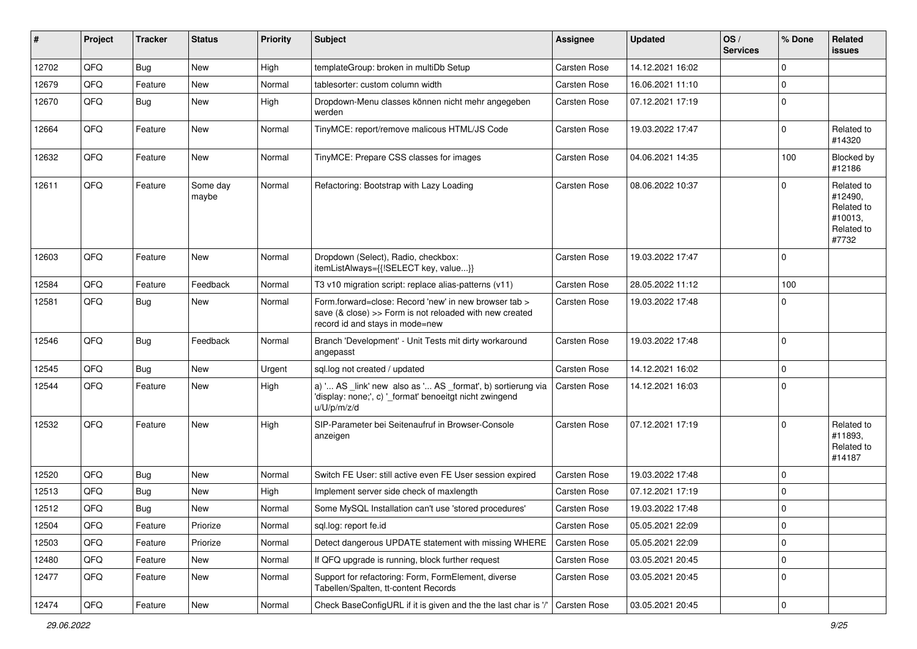| #     | Project | <b>Tracker</b> | <b>Status</b>     | <b>Priority</b> | <b>Subject</b>                                                                                                                                      | Assignee     | <b>Updated</b>   | OS/<br><b>Services</b> | % Done      | Related<br>issues                                                     |
|-------|---------|----------------|-------------------|-----------------|-----------------------------------------------------------------------------------------------------------------------------------------------------|--------------|------------------|------------------------|-------------|-----------------------------------------------------------------------|
| 12702 | QFQ     | <b>Bug</b>     | New               | High            | templateGroup: broken in multiDb Setup                                                                                                              | Carsten Rose | 14.12.2021 16:02 |                        | $\mathbf 0$ |                                                                       |
| 12679 | QFQ     | Feature        | New               | Normal          | tablesorter: custom column width                                                                                                                    | Carsten Rose | 16.06.2021 11:10 |                        | $\mathbf 0$ |                                                                       |
| 12670 | QFQ     | Bug            | New               | High            | Dropdown-Menu classes können nicht mehr angegeben<br>werden                                                                                         | Carsten Rose | 07.12.2021 17:19 |                        | $\mathbf 0$ |                                                                       |
| 12664 | QFQ     | Feature        | New               | Normal          | TinyMCE: report/remove malicous HTML/JS Code                                                                                                        | Carsten Rose | 19.03.2022 17:47 |                        | $\mathbf 0$ | Related to<br>#14320                                                  |
| 12632 | QFQ     | Feature        | <b>New</b>        | Normal          | TinyMCE: Prepare CSS classes for images                                                                                                             | Carsten Rose | 04.06.2021 14:35 |                        | 100         | Blocked by<br>#12186                                                  |
| 12611 | QFQ     | Feature        | Some day<br>maybe | Normal          | Refactoring: Bootstrap with Lazy Loading                                                                                                            | Carsten Rose | 08.06.2022 10:37 |                        | $\Omega$    | Related to<br>#12490,<br>Related to<br>#10013,<br>Related to<br>#7732 |
| 12603 | QFQ     | Feature        | <b>New</b>        | Normal          | Dropdown (Select), Radio, checkbox:<br>itemListAlways={{!SELECT key, value}}                                                                        | Carsten Rose | 19.03.2022 17:47 |                        | $\mathbf 0$ |                                                                       |
| 12584 | QFQ     | Feature        | Feedback          | Normal          | T3 v10 migration script: replace alias-patterns (v11)                                                                                               | Carsten Rose | 28.05.2022 11:12 |                        | 100         |                                                                       |
| 12581 | QFQ     | <b>Bug</b>     | <b>New</b>        | Normal          | Form.forward=close: Record 'new' in new browser tab ><br>save (& close) >> Form is not reloaded with new created<br>record id and stays in mode=new | Carsten Rose | 19.03.2022 17:48 |                        | 0           |                                                                       |
| 12546 | QFQ     | <b>Bug</b>     | Feedback          | Normal          | Branch 'Development' - Unit Tests mit dirty workaround<br>angepasst                                                                                 | Carsten Rose | 19.03.2022 17:48 |                        | $\mathbf 0$ |                                                                       |
| 12545 | QFQ     | <b>Bug</b>     | <b>New</b>        | Urgent          | sql.log not created / updated                                                                                                                       | Carsten Rose | 14.12.2021 16:02 |                        | $\mathbf 0$ |                                                                       |
| 12544 | QFQ     | Feature        | <b>New</b>        | High            | a) ' AS _link' new also as ' AS _format', b) sortierung via<br>'display: none;', c) '_format' benoeitgt nicht zwingend<br>u/U/p/m/z/d               | Carsten Rose | 14.12.2021 16:03 |                        | $\mathbf 0$ |                                                                       |
| 12532 | QFQ     | Feature        | <b>New</b>        | High            | SIP-Parameter bei Seitenaufruf in Browser-Console<br>anzeigen                                                                                       | Carsten Rose | 07.12.2021 17:19 |                        | $\mathbf 0$ | Related to<br>#11893,<br>Related to<br>#14187                         |
| 12520 | QFQ     | <b>Bug</b>     | <b>New</b>        | Normal          | Switch FE User: still active even FE User session expired                                                                                           | Carsten Rose | 19.03.2022 17:48 |                        | $\mathbf 0$ |                                                                       |
| 12513 | QFQ     | <b>Bug</b>     | <b>New</b>        | High            | Implement server side check of maxlength                                                                                                            | Carsten Rose | 07.12.2021 17:19 |                        | $\mathbf 0$ |                                                                       |
| 12512 | QFQ     | <b>Bug</b>     | New               | Normal          | Some MySQL Installation can't use 'stored procedures'                                                                                               | Carsten Rose | 19.03.2022 17:48 |                        | $\mathbf 0$ |                                                                       |
| 12504 | QFQ     | Feature        | Priorize          | Normal          | sql.log: report fe.id                                                                                                                               | Carsten Rose | 05.05.2021 22:09 |                        | $\mathbf 0$ |                                                                       |
| 12503 | QFQ     | Feature        | Priorize          | Normal          | Detect dangerous UPDATE statement with missing WHERE                                                                                                | Carsten Rose | 05.05.2021 22:09 |                        | $\mathbf 0$ |                                                                       |
| 12480 | QFQ     | Feature        | <b>New</b>        | Normal          | If QFQ upgrade is running, block further request                                                                                                    | Carsten Rose | 03.05.2021 20:45 |                        | $\mathbf 0$ |                                                                       |
| 12477 | QFQ     | Feature        | New               | Normal          | Support for refactoring: Form, FormElement, diverse<br>Tabellen/Spalten, tt-content Records                                                         | Carsten Rose | 03.05.2021 20:45 |                        | $\mathbf 0$ |                                                                       |
| 12474 | QFQ     | Feature        | New               | Normal          | Check BaseConfigURL if it is given and the the last char is '/'                                                                                     | Carsten Rose | 03.05.2021 20:45 |                        | $\mathbf 0$ |                                                                       |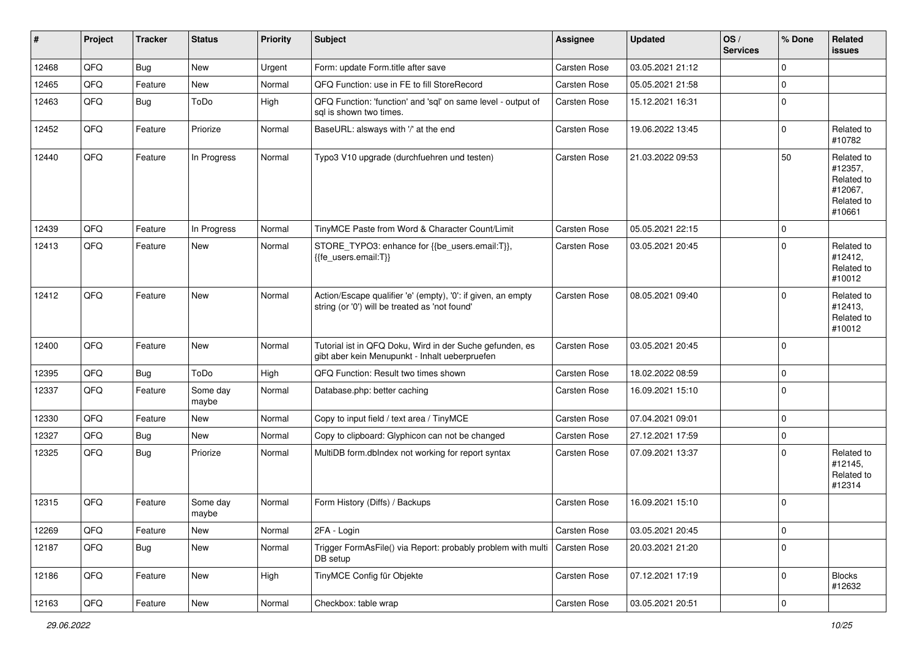| #     | Project | <b>Tracker</b> | <b>Status</b>     | <b>Priority</b> | Subject                                                                                                        | <b>Assignee</b>     | <b>Updated</b>   | $\log$<br><b>Services</b> | % Done      | Related<br>issues                                                      |
|-------|---------|----------------|-------------------|-----------------|----------------------------------------------------------------------------------------------------------------|---------------------|------------------|---------------------------|-------------|------------------------------------------------------------------------|
| 12468 | QFQ     | Bug            | New               | Urgent          | Form: update Form.title after save                                                                             | <b>Carsten Rose</b> | 03.05.2021 21:12 |                           | $\mathbf 0$ |                                                                        |
| 12465 | QFQ     | Feature        | New               | Normal          | QFQ Function: use in FE to fill StoreRecord                                                                    | Carsten Rose        | 05.05.2021 21:58 |                           | $\mathbf 0$ |                                                                        |
| 12463 | QFQ     | Bug            | ToDo              | High            | QFQ Function: 'function' and 'sgl' on same level - output of<br>sal is shown two times.                        | Carsten Rose        | 15.12.2021 16:31 |                           | $\mathbf 0$ |                                                                        |
| 12452 | QFQ     | Feature        | Priorize          | Normal          | BaseURL: alsways with '/' at the end                                                                           | Carsten Rose        | 19.06.2022 13:45 |                           | $\Omega$    | Related to<br>#10782                                                   |
| 12440 | QFQ     | Feature        | In Progress       | Normal          | Typo3 V10 upgrade (durchfuehren und testen)                                                                    | Carsten Rose        | 21.03.2022 09:53 |                           | 50          | Related to<br>#12357,<br>Related to<br>#12067,<br>Related to<br>#10661 |
| 12439 | QFQ     | Feature        | In Progress       | Normal          | TinyMCE Paste from Word & Character Count/Limit                                                                | Carsten Rose        | 05.05.2021 22:15 |                           | $\mathbf 0$ |                                                                        |
| 12413 | QFQ     | Feature        | New               | Normal          | STORE_TYPO3: enhance for {{be_users.email:T}},<br>{{fe_users.email:T}}                                         | Carsten Rose        | 03.05.2021 20:45 |                           | $\Omega$    | Related to<br>#12412,<br>Related to<br>#10012                          |
| 12412 | QFQ     | Feature        | New               | Normal          | Action/Escape qualifier 'e' (empty), '0': if given, an empty<br>string (or '0') will be treated as 'not found' | <b>Carsten Rose</b> | 08.05.2021 09:40 |                           | $\Omega$    | Related to<br>#12413,<br>Related to<br>#10012                          |
| 12400 | QFQ     | Feature        | <b>New</b>        | Normal          | Tutorial ist in QFQ Doku, Wird in der Suche gefunden, es<br>gibt aber kein Menupunkt - Inhalt ueberpruefen     | Carsten Rose        | 03.05.2021 20:45 |                           | $\mathbf 0$ |                                                                        |
| 12395 | QFQ     | <b>Bug</b>     | ToDo              | High            | QFQ Function: Result two times shown                                                                           | <b>Carsten Rose</b> | 18.02.2022 08:59 |                           | $\pmb{0}$   |                                                                        |
| 12337 | QFQ     | Feature        | Some day<br>maybe | Normal          | Database.php: better caching                                                                                   | Carsten Rose        | 16.09.2021 15:10 |                           | $\Omega$    |                                                                        |
| 12330 | QFQ     | Feature        | New               | Normal          | Copy to input field / text area / TinyMCE                                                                      | Carsten Rose        | 07.04.2021 09:01 |                           | 0           |                                                                        |
| 12327 | QFQ     | Bug            | New               | Normal          | Copy to clipboard: Glyphicon can not be changed                                                                | Carsten Rose        | 27.12.2021 17:59 |                           | $\mathbf 0$ |                                                                        |
| 12325 | QFQ     | <b>Bug</b>     | Priorize          | Normal          | MultiDB form.dblndex not working for report syntax                                                             | Carsten Rose        | 07.09.2021 13:37 |                           | $\Omega$    | Related to<br>#12145,<br>Related to<br>#12314                          |
| 12315 | QFQ     | Feature        | Some day<br>maybe | Normal          | Form History (Diffs) / Backups                                                                                 | Carsten Rose        | 16.09.2021 15:10 |                           | $\Omega$    |                                                                        |
| 12269 | QFQ     | Feature        | New               | Normal          | 2FA - Login                                                                                                    | Carsten Rose        | 03.05.2021 20:45 |                           | $\mathbf 0$ |                                                                        |
| 12187 | QFQ     | <b>Bug</b>     | New               | Normal          | Trigger FormAsFile() via Report: probably problem with multi<br>DB setup                                       | <b>Carsten Rose</b> | 20.03.2021 21:20 |                           | $\Omega$    |                                                                        |
| 12186 | QFQ     | Feature        | New               | High            | TinyMCE Config für Objekte                                                                                     | Carsten Rose        | 07.12.2021 17:19 |                           | $\mathbf 0$ | <b>Blocks</b><br>#12632                                                |
| 12163 | QFQ     | Feature        | New               | Normal          | Checkbox: table wrap                                                                                           | Carsten Rose        | 03.05.2021 20:51 |                           | $\mathbf 0$ |                                                                        |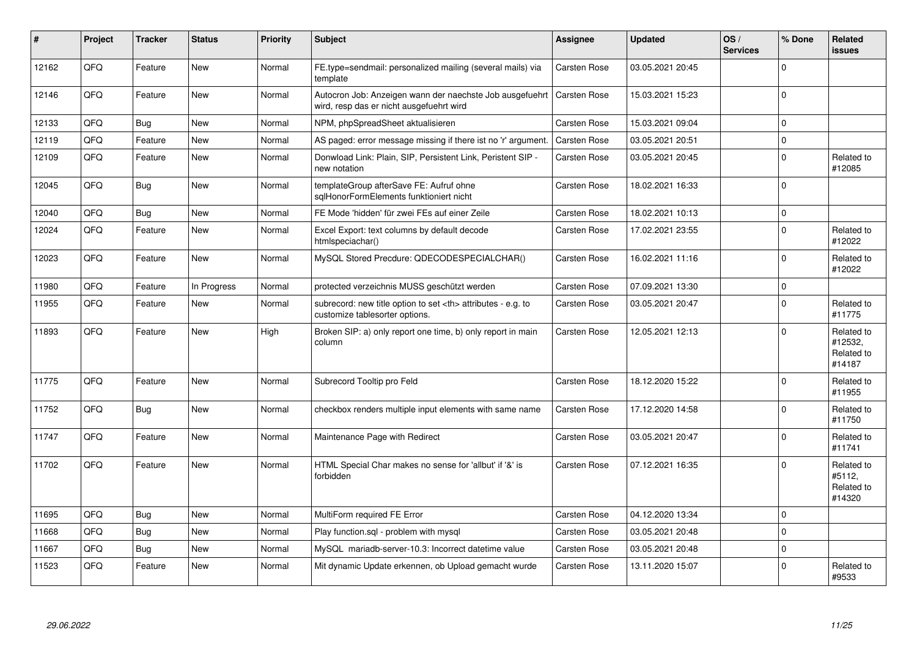| #     | Project | <b>Tracker</b> | <b>Status</b> | <b>Priority</b> | <b>Subject</b>                                                                                       | Assignee                                               | <b>Updated</b>      | OS/<br><b>Services</b> | % Done         | Related<br><b>issues</b>                      |                      |
|-------|---------|----------------|---------------|-----------------|------------------------------------------------------------------------------------------------------|--------------------------------------------------------|---------------------|------------------------|----------------|-----------------------------------------------|----------------------|
| 12162 | QFQ     | Feature        | <b>New</b>    | Normal          | FE.type=sendmail: personalized mailing (several mails) via<br>template                               | Carsten Rose                                           | 03.05.2021 20:45    |                        | $\Omega$       |                                               |                      |
| 12146 | QFQ     | Feature        | <b>New</b>    | Normal          | Autocron Job: Anzeigen wann der naechste Job ausgefuehrt<br>wird, resp das er nicht ausgefuehrt wird | <b>Carsten Rose</b>                                    | 15.03.2021 15:23    |                        | $\overline{0}$ |                                               |                      |
| 12133 | QFQ     | Bug            | <b>New</b>    | Normal          | NPM, phpSpreadSheet aktualisieren                                                                    | <b>Carsten Rose</b>                                    | 15.03.2021 09:04    |                        | $\mathbf 0$    |                                               |                      |
| 12119 | QFQ     | Feature        | <b>New</b>    | Normal          | AS paged: error message missing if there ist no 'r' argument.                                        | <b>Carsten Rose</b>                                    | 03.05.2021 20:51    |                        | $\Omega$       |                                               |                      |
| 12109 | QFQ     | Feature        | <b>New</b>    | Normal          | Donwload Link: Plain, SIP, Persistent Link, Peristent SIP -<br>new notation                          | Carsten Rose                                           | 03.05.2021 20:45    |                        | $\Omega$       | Related to<br>#12085                          |                      |
| 12045 | QFQ     | Bug            | New           | Normal          | templateGroup afterSave FE: Aufruf ohne<br>sglHonorFormElements funktioniert nicht                   | Carsten Rose                                           | 18.02.2021 16:33    |                        | $\mathbf 0$    |                                               |                      |
| 12040 | QFQ     | <b>Bug</b>     | <b>New</b>    | Normal          | FE Mode 'hidden' für zwei FEs auf einer Zeile                                                        | Carsten Rose                                           | 18.02.2021 10:13    |                        | $\mathbf 0$    |                                               |                      |
| 12024 | QFQ     | Feature        | <b>New</b>    | Normal          | Excel Export: text columns by default decode<br>htmlspeciachar()                                     | <b>Carsten Rose</b>                                    | 17.02.2021 23:55    |                        | $\overline{0}$ | Related to<br>#12022                          |                      |
| 12023 | QFQ     | Feature        | <b>New</b>    | Normal          | MySQL Stored Precdure: QDECODESPECIALCHAR()                                                          | <b>Carsten Rose</b>                                    | 16.02.2021 11:16    |                        | $\Omega$       | Related to<br>#12022                          |                      |
| 11980 | QFQ     | Feature        | In Progress   | Normal          | protected verzeichnis MUSS geschützt werden                                                          | <b>Carsten Rose</b>                                    | 07.09.2021 13:30    |                        | $\mathbf 0$    |                                               |                      |
| 11955 | QFQ     | Feature        | New           | Normal          | subrecord: new title option to set <th> attributes - e.g. to<br/>customize tablesorter options.</th> | attributes - e.g. to<br>customize tablesorter options. | <b>Carsten Rose</b> | 03.05.2021 20:47       |                | $\Omega$                                      | Related to<br>#11775 |
| 11893 | QFQ     | Feature        | <b>New</b>    | High            | Broken SIP: a) only report one time, b) only report in main<br>column                                | Carsten Rose                                           | 12.05.2021 12:13    |                        | $\Omega$       | Related to<br>#12532,<br>Related to<br>#14187 |                      |
| 11775 | QFQ     | Feature        | <b>New</b>    | Normal          | Subrecord Tooltip pro Feld                                                                           | Carsten Rose                                           | 18.12.2020 15:22    |                        | $\Omega$       | Related to<br>#11955                          |                      |
| 11752 | QFQ     | Bug            | New           | Normal          | checkbox renders multiple input elements with same name                                              | <b>Carsten Rose</b>                                    | 17.12.2020 14:58    |                        | $\Omega$       | Related to<br>#11750                          |                      |
| 11747 | QFQ     | Feature        | <b>New</b>    | Normal          | Maintenance Page with Redirect                                                                       | <b>Carsten Rose</b>                                    | 03.05.2021 20:47    |                        | $\Omega$       | Related to<br>#11741                          |                      |
| 11702 | QFQ     | Feature        | <b>New</b>    | Normal          | HTML Special Char makes no sense for 'allbut' if '&' is<br>forbidden                                 | <b>Carsten Rose</b>                                    | 07.12.2021 16:35    |                        | $\Omega$       | Related to<br>#5112,<br>Related to<br>#14320  |                      |
| 11695 | QFQ     | Bug            | <b>New</b>    | Normal          | MultiForm required FE Error                                                                          | Carsten Rose                                           | 04.12.2020 13:34    |                        | $\Omega$       |                                               |                      |
| 11668 | QFQ     | <b>Bug</b>     | <b>New</b>    | Normal          | Play function.sql - problem with mysql                                                               | Carsten Rose                                           | 03.05.2021 20:48    |                        | 0              |                                               |                      |
| 11667 | QFQ     | Bug            | <b>New</b>    | Normal          | MySQL mariadb-server-10.3: Incorrect datetime value                                                  | Carsten Rose                                           | 03.05.2021 20:48    |                        | $\mathbf 0$    |                                               |                      |
| 11523 | QFQ     | Feature        | New           | Normal          | Mit dynamic Update erkennen, ob Upload gemacht wurde                                                 | <b>Carsten Rose</b>                                    | 13.11.2020 15:07    |                        | $\Omega$       | Related to<br>#9533                           |                      |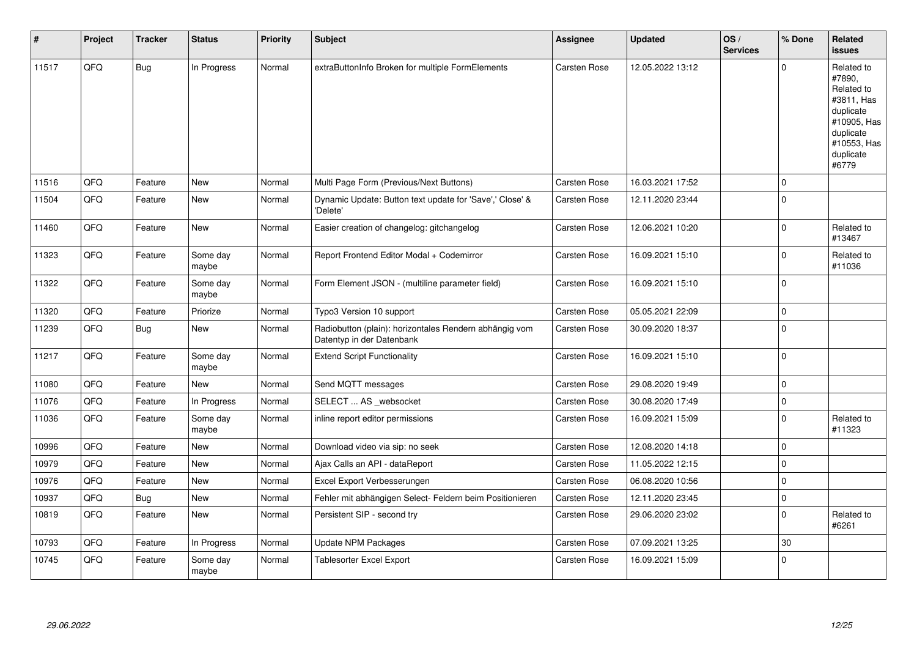| #     | Project | <b>Tracker</b> | <b>Status</b>     | <b>Priority</b> | Subject                                                                             | Assignee            | <b>Updated</b>   | OS/<br><b>Services</b> | % Done         | Related<br><b>issues</b>                                                                                                       |
|-------|---------|----------------|-------------------|-----------------|-------------------------------------------------------------------------------------|---------------------|------------------|------------------------|----------------|--------------------------------------------------------------------------------------------------------------------------------|
| 11517 | QFQ     | <b>Bug</b>     | In Progress       | Normal          | extraButtonInfo Broken for multiple FormElements                                    | Carsten Rose        | 12.05.2022 13:12 |                        | $\Omega$       | Related to<br>#7890,<br>Related to<br>#3811, Has<br>duplicate<br>#10905, Has<br>duplicate<br>#10553, Has<br>duplicate<br>#6779 |
| 11516 | QFQ     | Feature        | <b>New</b>        | Normal          | Multi Page Form (Previous/Next Buttons)                                             | <b>Carsten Rose</b> | 16.03.2021 17:52 |                        | $\overline{0}$ |                                                                                                                                |
| 11504 | QFQ     | Feature        | New               | Normal          | Dynamic Update: Button text update for 'Save',' Close' &<br>'Delete'                | Carsten Rose        | 12.11.2020 23:44 |                        | $\Omega$       |                                                                                                                                |
| 11460 | QFQ     | Feature        | <b>New</b>        | Normal          | Easier creation of changelog: gitchangelog                                          | Carsten Rose        | 12.06.2021 10:20 |                        | $\mathbf 0$    | Related to<br>#13467                                                                                                           |
| 11323 | QFQ     | Feature        | Some day<br>maybe | Normal          | Report Frontend Editor Modal + Codemirror                                           | Carsten Rose        | 16.09.2021 15:10 |                        | $\mathbf 0$    | Related to<br>#11036                                                                                                           |
| 11322 | QFQ     | Feature        | Some day<br>maybe | Normal          | Form Element JSON - (multiline parameter field)                                     | Carsten Rose        | 16.09.2021 15:10 |                        | $\mathbf 0$    |                                                                                                                                |
| 11320 | QFQ     | Feature        | Priorize          | Normal          | Typo3 Version 10 support                                                            | Carsten Rose        | 05.05.2021 22:09 |                        | $\mathbf 0$    |                                                                                                                                |
| 11239 | QFQ     | Bug            | <b>New</b>        | Normal          | Radiobutton (plain): horizontales Rendern abhängig vom<br>Datentyp in der Datenbank | Carsten Rose        | 30.09.2020 18:37 |                        | $\mathbf 0$    |                                                                                                                                |
| 11217 | QFQ     | Feature        | Some day<br>maybe | Normal          | <b>Extend Script Functionality</b>                                                  | Carsten Rose        | 16.09.2021 15:10 |                        | $\mathbf 0$    |                                                                                                                                |
| 11080 | QFQ     | Feature        | New               | Normal          | Send MQTT messages                                                                  | Carsten Rose        | 29.08.2020 19:49 |                        | $\mathbf 0$    |                                                                                                                                |
| 11076 | QFQ     | Feature        | In Progress       | Normal          | SELECT  AS _websocket                                                               | Carsten Rose        | 30.08.2020 17:49 |                        | $\Omega$       |                                                                                                                                |
| 11036 | QFQ     | Feature        | Some day<br>maybe | Normal          | inline report editor permissions                                                    | Carsten Rose        | 16.09.2021 15:09 |                        | $\mathbf 0$    | Related to<br>#11323                                                                                                           |
| 10996 | QFQ     | Feature        | <b>New</b>        | Normal          | Download video via sip: no seek                                                     | Carsten Rose        | 12.08.2020 14:18 |                        | $\mathbf 0$    |                                                                                                                                |
| 10979 | QFQ     | Feature        | <b>New</b>        | Normal          | Ajax Calls an API - dataReport                                                      | Carsten Rose        | 11.05.2022 12:15 |                        | $\mathbf 0$    |                                                                                                                                |
| 10976 | QFQ     | Feature        | <b>New</b>        | Normal          | Excel Export Verbesserungen                                                         | Carsten Rose        | 06.08.2020 10:56 |                        | $\mathbf 0$    |                                                                                                                                |
| 10937 | QFQ     | <b>Bug</b>     | <b>New</b>        | Normal          | Fehler mit abhängigen Select- Feldern beim Positionieren                            | <b>Carsten Rose</b> | 12.11.2020 23:45 |                        | $\mathbf 0$    |                                                                                                                                |
| 10819 | QFQ     | Feature        | New               | Normal          | Persistent SIP - second try                                                         | Carsten Rose        | 29.06.2020 23:02 |                        | $\mathbf 0$    | Related to<br>#6261                                                                                                            |
| 10793 | QFQ     | Feature        | In Progress       | Normal          | <b>Update NPM Packages</b>                                                          | Carsten Rose        | 07.09.2021 13:25 |                        | 30             |                                                                                                                                |
| 10745 | QFQ     | Feature        | Some day<br>maybe | Normal          | Tablesorter Excel Export                                                            | Carsten Rose        | 16.09.2021 15:09 |                        | $\Omega$       |                                                                                                                                |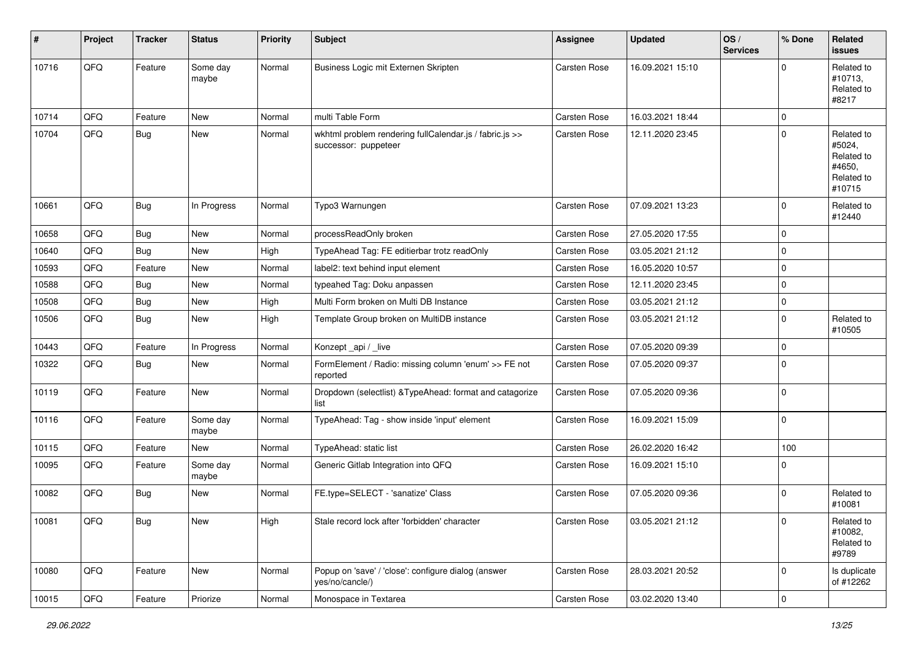| ∦     | Project | <b>Tracker</b> | <b>Status</b>     | <b>Priority</b> | <b>Subject</b>                                                                  | <b>Assignee</b> | <b>Updated</b>   | OS/<br><b>Services</b> | % Done      | Related<br><b>issues</b>                                             |
|-------|---------|----------------|-------------------|-----------------|---------------------------------------------------------------------------------|-----------------|------------------|------------------------|-------------|----------------------------------------------------------------------|
| 10716 | QFQ     | Feature        | Some day<br>maybe | Normal          | Business Logic mit Externen Skripten                                            | Carsten Rose    | 16.09.2021 15:10 |                        | $\Omega$    | Related to<br>#10713.<br>Related to<br>#8217                         |
| 10714 | QFQ     | Feature        | New               | Normal          | multi Table Form                                                                | Carsten Rose    | 16.03.2021 18:44 |                        | $\mathbf 0$ |                                                                      |
| 10704 | QFQ     | <b>Bug</b>     | New               | Normal          | wkhtml problem rendering fullCalendar.js / fabric.js >><br>successor: puppeteer | Carsten Rose    | 12.11.2020 23:45 |                        | $\mathbf 0$ | Related to<br>#5024,<br>Related to<br>#4650,<br>Related to<br>#10715 |
| 10661 | QFQ     | <b>Bug</b>     | In Progress       | Normal          | Typo3 Warnungen                                                                 | Carsten Rose    | 07.09.2021 13:23 |                        | $\mathbf 0$ | Related to<br>#12440                                                 |
| 10658 | QFQ     | Bug            | New               | Normal          | processReadOnly broken                                                          | Carsten Rose    | 27.05.2020 17:55 |                        | $\mathbf 0$ |                                                                      |
| 10640 | QFQ     | <b>Bug</b>     | <b>New</b>        | High            | TypeAhead Tag: FE editierbar trotz readOnly                                     | Carsten Rose    | 03.05.2021 21:12 |                        | $\mathbf 0$ |                                                                      |
| 10593 | QFQ     | Feature        | New               | Normal          | label2: text behind input element                                               | Carsten Rose    | 16.05.2020 10:57 |                        | $\mathbf 0$ |                                                                      |
| 10588 | QFQ     | <b>Bug</b>     | <b>New</b>        | Normal          | typeahed Tag: Doku anpassen                                                     | Carsten Rose    | 12.11.2020 23:45 |                        | $\mathbf 0$ |                                                                      |
| 10508 | QFQ     | <b>Bug</b>     | New               | High            | Multi Form broken on Multi DB Instance                                          | Carsten Rose    | 03.05.2021 21:12 |                        | $\mathbf 0$ |                                                                      |
| 10506 | QFQ     | <b>Bug</b>     | New               | High            | Template Group broken on MultiDB instance                                       | Carsten Rose    | 03.05.2021 21:12 |                        | $\mathbf 0$ | Related to<br>#10505                                                 |
| 10443 | QFQ     | Feature        | In Progress       | Normal          | Konzept_api / _live                                                             | Carsten Rose    | 07.05.2020 09:39 |                        | $\mathbf 0$ |                                                                      |
| 10322 | QFQ     | <b>Bug</b>     | New               | Normal          | FormElement / Radio: missing column 'enum' >> FE not<br>reported                | Carsten Rose    | 07.05.2020 09:37 |                        | $\mathbf 0$ |                                                                      |
| 10119 | QFQ     | Feature        | New               | Normal          | Dropdown (selectlist) & TypeAhead: format and catagorize<br>list                | Carsten Rose    | 07.05.2020 09:36 |                        | $\mathbf 0$ |                                                                      |
| 10116 | QFQ     | Feature        | Some day<br>maybe | Normal          | TypeAhead: Tag - show inside 'input' element                                    | Carsten Rose    | 16.09.2021 15:09 |                        | $\mathbf 0$ |                                                                      |
| 10115 | QFQ     | Feature        | <b>New</b>        | Normal          | TypeAhead: static list                                                          | Carsten Rose    | 26.02.2020 16:42 |                        | 100         |                                                                      |
| 10095 | QFQ     | Feature        | Some day<br>maybe | Normal          | Generic Gitlab Integration into QFQ                                             | Carsten Rose    | 16.09.2021 15:10 |                        | $\mathbf 0$ |                                                                      |
| 10082 | QFQ     | <b>Bug</b>     | New               | Normal          | FE.type=SELECT - 'sanatize' Class                                               | Carsten Rose    | 07.05.2020 09:36 |                        | $\mathbf 0$ | Related to<br>#10081                                                 |
| 10081 | QFQ     | Bug            | New               | High            | Stale record lock after 'forbidden' character                                   | Carsten Rose    | 03.05.2021 21:12 |                        | $\pmb{0}$   | Related to<br>#10082,<br>Related to<br>#9789                         |
| 10080 | QFQ     | Feature        | New               | Normal          | Popup on 'save' / 'close': configure dialog (answer<br>ves/no/cancle/)          | Carsten Rose    | 28.03.2021 20:52 |                        | $\mathbf 0$ | Is duplicate<br>of #12262                                            |
| 10015 | QFQ     | Feature        | Priorize          | Normal          | Monospace in Textarea                                                           | Carsten Rose    | 03.02.2020 13:40 |                        | $\pmb{0}$   |                                                                      |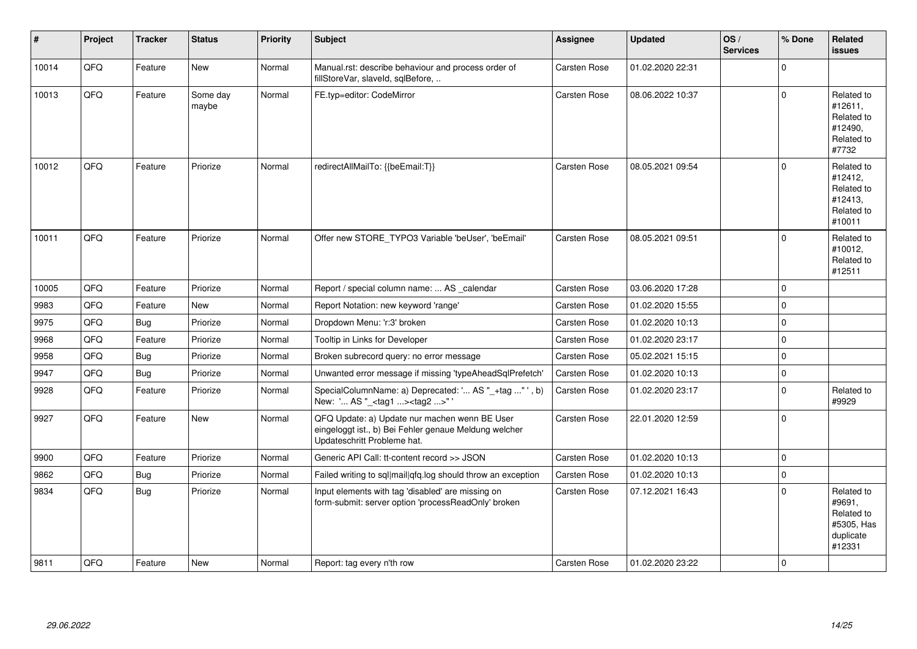| #     | Project | <b>Tracker</b> | <b>Status</b>     | <b>Priority</b> | <b>Subject</b>                                                                                                                        | Assignee            | <b>Updated</b>   | OS/<br><b>Services</b> | % Done      | Related<br><b>issues</b>                                                |
|-------|---------|----------------|-------------------|-----------------|---------------------------------------------------------------------------------------------------------------------------------------|---------------------|------------------|------------------------|-------------|-------------------------------------------------------------------------|
| 10014 | QFQ     | Feature        | <b>New</b>        | Normal          | Manual.rst: describe behaviour and process order of<br>fillStoreVar, slaveId, sqlBefore,                                              | Carsten Rose        | 01.02.2020 22:31 |                        | $\Omega$    |                                                                         |
| 10013 | QFQ     | Feature        | Some day<br>maybe | Normal          | FE.typ=editor: CodeMirror                                                                                                             | <b>Carsten Rose</b> | 08.06.2022 10:37 |                        | $\mathbf 0$ | Related to<br>#12611,<br>Related to<br>#12490,<br>Related to<br>#7732   |
| 10012 | QFQ     | Feature        | Priorize          | Normal          | redirectAllMailTo: {{beEmail:T}}                                                                                                      | Carsten Rose        | 08.05.2021 09:54 |                        | $\Omega$    | Related to<br>#12412,<br>Related to<br>#12413,<br>Related to<br>#10011  |
| 10011 | QFQ     | Feature        | Priorize          | Normal          | Offer new STORE_TYPO3 Variable 'beUser', 'beEmail'                                                                                    | Carsten Rose        | 08.05.2021 09:51 |                        | $\Omega$    | Related to<br>#10012,<br>Related to<br>#12511                           |
| 10005 | QFQ     | Feature        | Priorize          | Normal          | Report / special column name:  AS _calendar                                                                                           | Carsten Rose        | 03.06.2020 17:28 |                        | $\mathbf 0$ |                                                                         |
| 9983  | QFQ     | Feature        | <b>New</b>        | Normal          | Report Notation: new keyword 'range'                                                                                                  | <b>Carsten Rose</b> | 01.02.2020 15:55 |                        | $\mathbf 0$ |                                                                         |
| 9975  | QFQ     | <b>Bug</b>     | Priorize          | Normal          | Dropdown Menu: 'r:3' broken                                                                                                           | <b>Carsten Rose</b> | 01.02.2020 10:13 |                        | $\mathbf 0$ |                                                                         |
| 9968  | QFQ     | Feature        | Priorize          | Normal          | Tooltip in Links for Developer                                                                                                        | <b>Carsten Rose</b> | 01.02.2020 23:17 |                        | $\mathbf 0$ |                                                                         |
| 9958  | QFQ     | Bug            | Priorize          | Normal          | Broken subrecord query: no error message                                                                                              | <b>Carsten Rose</b> | 05.02.2021 15:15 |                        | $\mathbf 0$ |                                                                         |
| 9947  | QFQ     | <b>Bug</b>     | Priorize          | Normal          | Unwanted error message if missing 'typeAheadSqlPrefetch'                                                                              | Carsten Rose        | 01.02.2020 10:13 |                        | $\mathbf 0$ |                                                                         |
| 9928  | QFQ     | Feature        | Priorize          | Normal          | SpecialColumnName: a) Deprecated: ' AS "_+tag " ', b)<br>New: ' AS "_ <tag1><tag2>"'</tag2></tag1>                                    | Carsten Rose        | 01.02.2020 23:17 |                        | $\mathbf 0$ | Related to<br>#9929                                                     |
| 9927  | QFQ     | Feature        | <b>New</b>        | Normal          | QFQ Update: a) Update nur machen wenn BE User<br>eingeloggt ist., b) Bei Fehler genaue Meldung welcher<br>Updateschritt Probleme hat. | <b>Carsten Rose</b> | 22.01.2020 12:59 |                        | $\Omega$    |                                                                         |
| 9900  | QFQ     | Feature        | Priorize          | Normal          | Generic API Call: tt-content record >> JSON                                                                                           | <b>Carsten Rose</b> | 01.02.2020 10:13 |                        | $\Omega$    |                                                                         |
| 9862  | QFQ     | <b>Bug</b>     | Priorize          | Normal          | Failed writing to sql mail qfq.log should throw an exception                                                                          | Carsten Rose        | 01.02.2020 10:13 |                        | $\mathbf 0$ |                                                                         |
| 9834  | QFQ     | <b>Bug</b>     | Priorize          | Normal          | Input elements with tag 'disabled' are missing on<br>form-submit: server option 'processReadOnly' broken                              | Carsten Rose        | 07.12.2021 16:43 |                        | $\Omega$    | Related to<br>#9691.<br>Related to<br>#5305, Has<br>duplicate<br>#12331 |
| 9811  | QFQ     | Feature        | <b>New</b>        | Normal          | Report: tag every n'th row                                                                                                            | Carsten Rose        | 01.02.2020 23:22 |                        | $\Omega$    |                                                                         |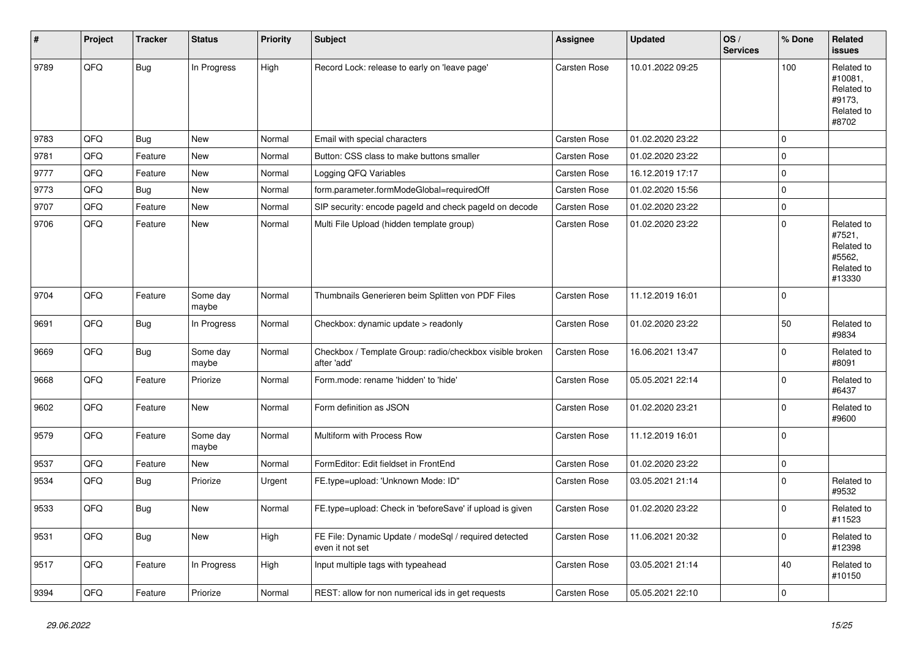| #    | Project | <b>Tracker</b> | <b>Status</b>     | <b>Priority</b> | <b>Subject</b>                                                           | Assignee            | <b>Updated</b>   | OS/<br><b>Services</b> | % Done      | Related<br><b>issues</b>                                             |
|------|---------|----------------|-------------------|-----------------|--------------------------------------------------------------------------|---------------------|------------------|------------------------|-------------|----------------------------------------------------------------------|
| 9789 | QFQ     | <b>Bug</b>     | In Progress       | High            | Record Lock: release to early on 'leave page'                            | Carsten Rose        | 10.01.2022 09:25 |                        | 100         | Related to<br>#10081,<br>Related to<br>#9173,<br>Related to<br>#8702 |
| 9783 | QFQ     | Bug            | <b>New</b>        | Normal          | Email with special characters                                            | <b>Carsten Rose</b> | 01.02.2020 23:22 |                        | $\mathbf 0$ |                                                                      |
| 9781 | QFQ     | Feature        | New               | Normal          | Button: CSS class to make buttons smaller                                | Carsten Rose        | 01.02.2020 23:22 |                        | $\mathbf 0$ |                                                                      |
| 9777 | QFQ     | Feature        | <b>New</b>        | Normal          | Logging QFQ Variables                                                    | <b>Carsten Rose</b> | 16.12.2019 17:17 |                        | $\mathbf 0$ |                                                                      |
| 9773 | QFQ     | Bug            | <b>New</b>        | Normal          | form.parameter.formModeGlobal=requiredOff                                | <b>Carsten Rose</b> | 01.02.2020 15:56 |                        | $\mathbf 0$ |                                                                      |
| 9707 | QFQ     | Feature        | <b>New</b>        | Normal          | SIP security: encode pageld and check pageld on decode                   | Carsten Rose        | 01.02.2020 23:22 |                        | $\pmb{0}$   |                                                                      |
| 9706 | QFQ     | Feature        | New               | Normal          | Multi File Upload (hidden template group)                                | <b>Carsten Rose</b> | 01.02.2020 23:22 |                        | $\mathbf 0$ | Related to<br>#7521,<br>Related to<br>#5562,<br>Related to<br>#13330 |
| 9704 | QFQ     | Feature        | Some day<br>maybe | Normal          | Thumbnails Generieren beim Splitten von PDF Files                        | <b>Carsten Rose</b> | 11.12.2019 16:01 |                        | $\mathbf 0$ |                                                                      |
| 9691 | QFQ     | <b>Bug</b>     | In Progress       | Normal          | Checkbox: dynamic update > readonly                                      | Carsten Rose        | 01.02.2020 23:22 |                        | 50          | Related to<br>#9834                                                  |
| 9669 | QFQ     | <b>Bug</b>     | Some day<br>maybe | Normal          | Checkbox / Template Group: radio/checkbox visible broken<br>after 'add'  | Carsten Rose        | 16.06.2021 13:47 |                        | $\Omega$    | Related to<br>#8091                                                  |
| 9668 | QFQ     | Feature        | Priorize          | Normal          | Form.mode: rename 'hidden' to 'hide'                                     | Carsten Rose        | 05.05.2021 22:14 |                        | $\mathbf 0$ | Related to<br>#6437                                                  |
| 9602 | QFQ     | Feature        | New               | Normal          | Form definition as JSON                                                  | <b>Carsten Rose</b> | 01.02.2020 23:21 |                        | $\mathbf 0$ | Related to<br>#9600                                                  |
| 9579 | QFQ     | Feature        | Some day<br>maybe | Normal          | Multiform with Process Row                                               | Carsten Rose        | 11.12.2019 16:01 |                        | $\Omega$    |                                                                      |
| 9537 | QFQ     | Feature        | New               | Normal          | FormEditor: Edit fieldset in FrontEnd                                    | Carsten Rose        | 01.02.2020 23:22 |                        | $\pmb{0}$   |                                                                      |
| 9534 | QFQ     | Bug            | Priorize          | Urgent          | FE.type=upload: 'Unknown Mode: ID"                                       | <b>Carsten Rose</b> | 03.05.2021 21:14 |                        | $\mathbf 0$ | Related to<br>#9532                                                  |
| 9533 | QFQ     | <b>Bug</b>     | New               | Normal          | FE.type=upload: Check in 'beforeSave' if upload is given                 | Carsten Rose        | 01.02.2020 23:22 |                        | $\mathbf 0$ | Related to<br>#11523                                                 |
| 9531 | QFQ     | <b>Bug</b>     | New               | High            | FE File: Dynamic Update / modeSql / required detected<br>even it not set | Carsten Rose        | 11.06.2021 20:32 |                        | $\mathbf 0$ | Related to<br>#12398                                                 |
| 9517 | QFQ     | Feature        | In Progress       | High            | Input multiple tags with typeahead                                       | <b>Carsten Rose</b> | 03.05.2021 21:14 |                        | 40          | Related to<br>#10150                                                 |
| 9394 | QFQ     | Feature        | Priorize          | Normal          | REST: allow for non numerical ids in get requests                        | Carsten Rose        | 05.05.2021 22:10 |                        | $\mathbf 0$ |                                                                      |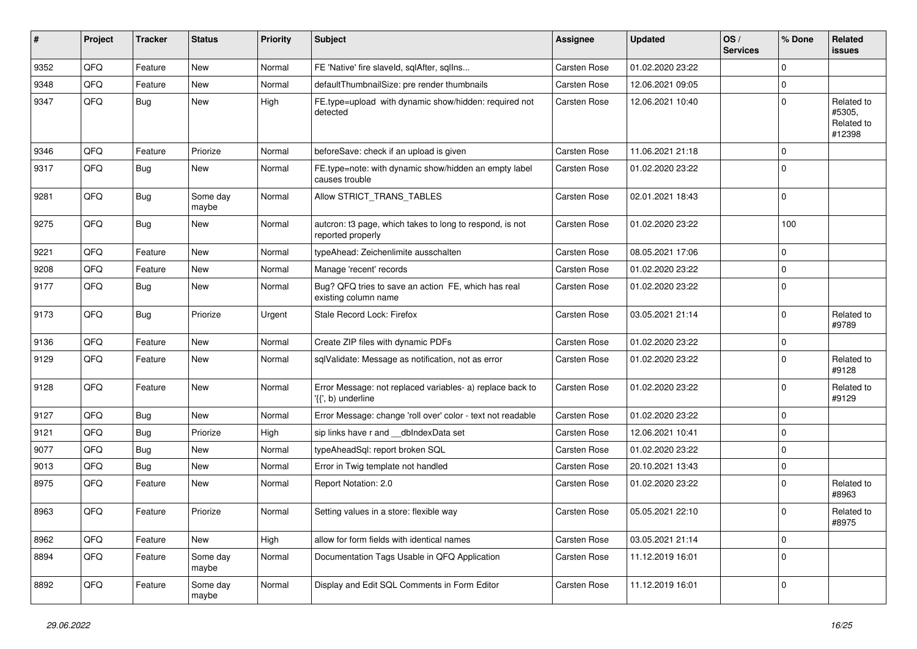| ∦    | Project | <b>Tracker</b> | <b>Status</b>     | <b>Priority</b> | <b>Subject</b>                                                                  | <b>Assignee</b>     | <b>Updated</b>   | OS/<br><b>Services</b> | % Done      | Related<br>issues                            |
|------|---------|----------------|-------------------|-----------------|---------------------------------------------------------------------------------|---------------------|------------------|------------------------|-------------|----------------------------------------------|
| 9352 | QFQ     | Feature        | <b>New</b>        | Normal          | FE 'Native' fire slaveld, sqlAfter, sqlIns                                      | <b>Carsten Rose</b> | 01.02.2020 23:22 |                        | $\Omega$    |                                              |
| 9348 | QFQ     | Feature        | <b>New</b>        | Normal          | defaultThumbnailSize: pre render thumbnails                                     | Carsten Rose        | 12.06.2021 09:05 |                        | $\mathbf 0$ |                                              |
| 9347 | QFQ     | <b>Bug</b>     | New               | High            | FE.type=upload with dynamic show/hidden: required not<br>detected               | Carsten Rose        | 12.06.2021 10:40 |                        | $\mathbf 0$ | Related to<br>#5305,<br>Related to<br>#12398 |
| 9346 | QFQ     | Feature        | Priorize          | Normal          | beforeSave: check if an upload is given                                         | <b>Carsten Rose</b> | 11.06.2021 21:18 |                        | $\Omega$    |                                              |
| 9317 | QFQ     | Bug            | <b>New</b>        | Normal          | FE.type=note: with dynamic show/hidden an empty label<br>causes trouble         | Carsten Rose        | 01.02.2020 23:22 |                        | $\Omega$    |                                              |
| 9281 | QFQ     | Bug            | Some day<br>maybe | Normal          | Allow STRICT_TRANS_TABLES                                                       | Carsten Rose        | 02.01.2021 18:43 |                        | $\mathbf 0$ |                                              |
| 9275 | QFQ     | <b>Bug</b>     | <b>New</b>        | Normal          | autcron: t3 page, which takes to long to respond, is not<br>reported properly   | Carsten Rose        | 01.02.2020 23:22 |                        | 100         |                                              |
| 9221 | QFQ     | Feature        | <b>New</b>        | Normal          | typeAhead: Zeichenlimite ausschalten                                            | Carsten Rose        | 08.05.2021 17:06 |                        | $\mathbf 0$ |                                              |
| 9208 | QFQ     | Feature        | <b>New</b>        | Normal          | Manage 'recent' records                                                         | <b>Carsten Rose</b> | 01.02.2020 23:22 |                        | $\mathbf 0$ |                                              |
| 9177 | QFQ     | Bug            | <b>New</b>        | Normal          | Bug? QFQ tries to save an action FE, which has real<br>existing column name     | Carsten Rose        | 01.02.2020 23:22 |                        | $\Omega$    |                                              |
| 9173 | QFQ     | Bug            | Priorize          | Urgent          | Stale Record Lock: Firefox                                                      | Carsten Rose        | 03.05.2021 21:14 |                        | $\Omega$    | Related to<br>#9789                          |
| 9136 | QFQ     | Feature        | <b>New</b>        | Normal          | Create ZIP files with dynamic PDFs                                              | <b>Carsten Rose</b> | 01.02.2020 23:22 |                        | $\Omega$    |                                              |
| 9129 | QFQ     | Feature        | <b>New</b>        | Normal          | sqlValidate: Message as notification, not as error                              | Carsten Rose        | 01.02.2020 23:22 |                        | $\Omega$    | Related to<br>#9128                          |
| 9128 | QFQ     | Feature        | <b>New</b>        | Normal          | Error Message: not replaced variables- a) replace back to<br>'{{', b) underline | Carsten Rose        | 01.02.2020 23:22 |                        | $\mathbf 0$ | Related to<br>#9129                          |
| 9127 | QFQ     | <b>Bug</b>     | <b>New</b>        | Normal          | Error Message: change 'roll over' color - text not readable                     | Carsten Rose        | 01.02.2020 23:22 |                        | $\mathbf 0$ |                                              |
| 9121 | QFQ     | <b>Bug</b>     | Priorize          | High            | sip links have r and __dbIndexData set                                          | Carsten Rose        | 12.06.2021 10:41 |                        | $\mathbf 0$ |                                              |
| 9077 | QFQ     | Bug            | <b>New</b>        | Normal          | typeAheadSql: report broken SQL                                                 | Carsten Rose        | 01.02.2020 23:22 |                        | $\Omega$    |                                              |
| 9013 | QFQ     | <b>Bug</b>     | <b>New</b>        | Normal          | Error in Twig template not handled                                              | Carsten Rose        | 20.10.2021 13:43 |                        | $\Omega$    |                                              |
| 8975 | QFQ     | Feature        | <b>New</b>        | Normal          | Report Notation: 2.0                                                            | Carsten Rose        | 01.02.2020 23:22 |                        | 0           | Related to<br>#8963                          |
| 8963 | QFQ     | Feature        | Priorize          | Normal          | Setting values in a store: flexible way                                         | Carsten Rose        | 05.05.2021 22:10 |                        | $\mathbf 0$ | Related to<br>#8975                          |
| 8962 | QFQ     | Feature        | <b>New</b>        | High            | allow for form fields with identical names                                      | Carsten Rose        | 03.05.2021 21:14 |                        | $\mathbf 0$ |                                              |
| 8894 | QFQ     | Feature        | Some day<br>maybe | Normal          | Documentation Tags Usable in QFQ Application                                    | Carsten Rose        | 11.12.2019 16:01 |                        | $\mathbf 0$ |                                              |
| 8892 | QFQ     | Feature        | Some day<br>maybe | Normal          | Display and Edit SQL Comments in Form Editor                                    | Carsten Rose        | 11.12.2019 16:01 |                        | 0           |                                              |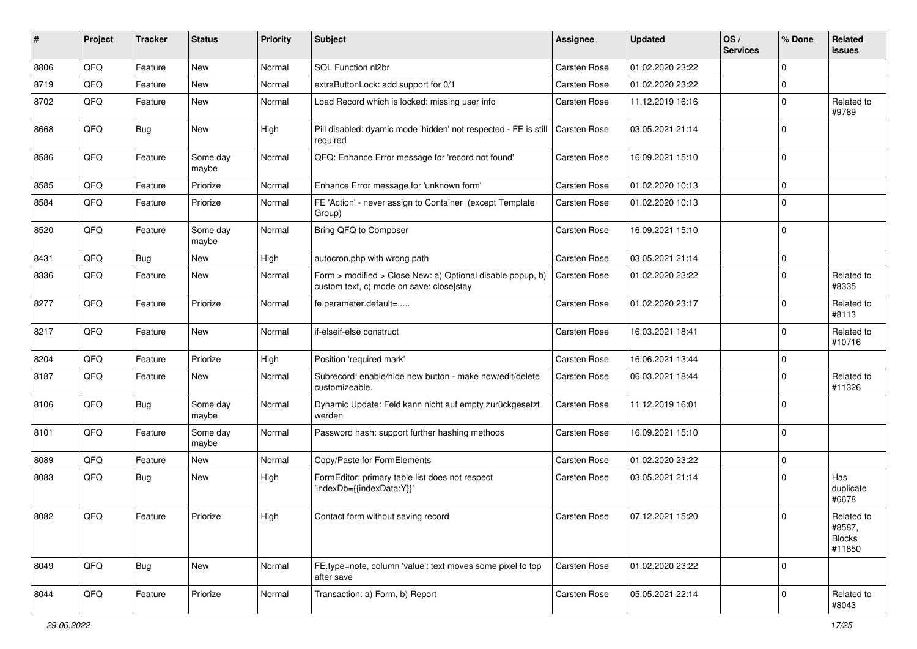| ∦    | Project | <b>Tracker</b> | <b>Status</b>     | <b>Priority</b> | <b>Subject</b>                                                                                         | <b>Assignee</b>     | <b>Updated</b>   | OS/<br><b>Services</b> | % Done      | Related<br>issues                               |
|------|---------|----------------|-------------------|-----------------|--------------------------------------------------------------------------------------------------------|---------------------|------------------|------------------------|-------------|-------------------------------------------------|
| 8806 | QFQ     | Feature        | <b>New</b>        | Normal          | SQL Function nl2br                                                                                     | <b>Carsten Rose</b> | 01.02.2020 23:22 |                        | $\Omega$    |                                                 |
| 8719 | QFQ     | Feature        | <b>New</b>        | Normal          | extraButtonLock: add support for 0/1                                                                   | Carsten Rose        | 01.02.2020 23:22 |                        | 0           |                                                 |
| 8702 | QFQ     | Feature        | New               | Normal          | Load Record which is locked: missing user info                                                         | Carsten Rose        | 11.12.2019 16:16 |                        | $\Omega$    | Related to<br>#9789                             |
| 8668 | QFQ     | Bug            | New               | High            | Pill disabled: dyamic mode 'hidden' not respected - FE is still<br>required                            | Carsten Rose        | 03.05.2021 21:14 |                        | $\Omega$    |                                                 |
| 8586 | QFQ     | Feature        | Some day<br>maybe | Normal          | QFQ: Enhance Error message for 'record not found'                                                      | Carsten Rose        | 16.09.2021 15:10 |                        | $\mathbf 0$ |                                                 |
| 8585 | QFQ     | Feature        | Priorize          | Normal          | Enhance Error message for 'unknown form'                                                               | Carsten Rose        | 01.02.2020 10:13 |                        | $\mathbf 0$ |                                                 |
| 8584 | QFQ     | Feature        | Priorize          | Normal          | FE 'Action' - never assign to Container (except Template<br>Group)                                     | Carsten Rose        | 01.02.2020 10:13 |                        | $\mathbf 0$ |                                                 |
| 8520 | QFQ     | Feature        | Some day<br>maybe | Normal          | Bring QFQ to Composer                                                                                  | Carsten Rose        | 16.09.2021 15:10 |                        | $\mathbf 0$ |                                                 |
| 8431 | QFQ     | Bug            | <b>New</b>        | High            | autocron.php with wrong path                                                                           | Carsten Rose        | 03.05.2021 21:14 |                        | $\mathbf 0$ |                                                 |
| 8336 | QFQ     | Feature        | <b>New</b>        | Normal          | Form > modified > Close New: a) Optional disable popup, b)<br>custom text, c) mode on save: close stay | <b>Carsten Rose</b> | 01.02.2020 23:22 |                        | $\Omega$    | Related to<br>#8335                             |
| 8277 | QFQ     | Feature        | Priorize          | Normal          | fe.parameter.default=                                                                                  | Carsten Rose        | 01.02.2020 23:17 |                        | $\mathbf 0$ | Related to<br>#8113                             |
| 8217 | QFQ     | Feature        | <b>New</b>        | Normal          | if-elseif-else construct                                                                               | Carsten Rose        | 16.03.2021 18:41 |                        | $\Omega$    | Related to<br>#10716                            |
| 8204 | QFQ     | Feature        | Priorize          | High            | Position 'required mark'                                                                               | Carsten Rose        | 16.06.2021 13:44 |                        | 0           |                                                 |
| 8187 | QFQ     | Feature        | New               | Normal          | Subrecord: enable/hide new button - make new/edit/delete<br>customizeable.                             | Carsten Rose        | 06.03.2021 18:44 |                        | $\Omega$    | Related to<br>#11326                            |
| 8106 | QFQ     | Bug            | Some day<br>maybe | Normal          | Dynamic Update: Feld kann nicht auf empty zurückgesetzt<br>werden                                      | Carsten Rose        | 11.12.2019 16:01 |                        | $\Omega$    |                                                 |
| 8101 | QFQ     | Feature        | Some day<br>maybe | Normal          | Password hash: support further hashing methods                                                         | Carsten Rose        | 16.09.2021 15:10 |                        | $\Omega$    |                                                 |
| 8089 | QFQ     | Feature        | <b>New</b>        | Normal          | Copy/Paste for FormElements                                                                            | Carsten Rose        | 01.02.2020 23:22 |                        | 0           |                                                 |
| 8083 | QFQ     | Bug            | <b>New</b>        | High            | FormEditor: primary table list does not respect<br>'indexDb={{indexData:Y}}'                           | Carsten Rose        | 03.05.2021 21:14 |                        | $\Omega$    | Has<br>duplicate<br>#6678                       |
| 8082 | QFQ     | Feature        | Priorize          | High            | Contact form without saving record                                                                     | Carsten Rose        | 07.12.2021 15:20 |                        | $\Omega$    | Related to<br>#8587,<br><b>Blocks</b><br>#11850 |
| 8049 | QFQ     | Bug            | New               | Normal          | FE.type=note, column 'value': text moves some pixel to top<br>after save                               | Carsten Rose        | 01.02.2020 23:22 |                        | $\Omega$    |                                                 |
| 8044 | QFQ     | Feature        | Priorize          | Normal          | Transaction: a) Form, b) Report                                                                        | Carsten Rose        | 05.05.2021 22:14 |                        | 0           | Related to<br>#8043                             |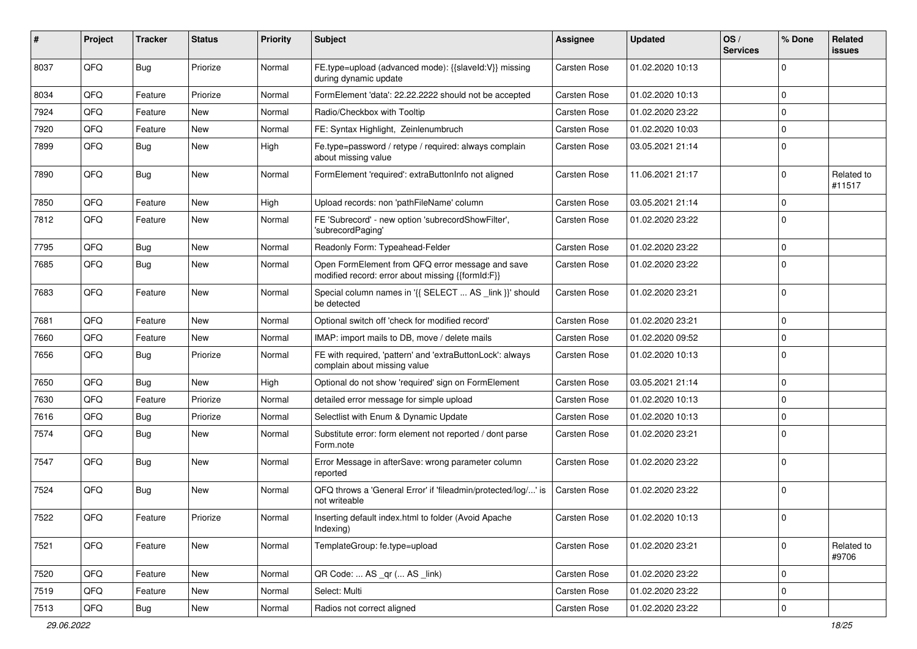| #    | Project | Tracker    | <b>Status</b> | <b>Priority</b> | <b>Subject</b>                                                                                        | Assignee            | <b>Updated</b>   | OS/<br><b>Services</b> | % Done              | Related<br>issues    |
|------|---------|------------|---------------|-----------------|-------------------------------------------------------------------------------------------------------|---------------------|------------------|------------------------|---------------------|----------------------|
| 8037 | QFQ     | <b>Bug</b> | Priorize      | Normal          | FE.type=upload (advanced mode): {{slaveId:V}} missing<br>during dynamic update                        | <b>Carsten Rose</b> | 01.02.2020 10:13 |                        | $\mathbf 0$         |                      |
| 8034 | QFQ     | Feature    | Priorize      | Normal          | FormElement 'data': 22.22.2222 should not be accepted                                                 | <b>Carsten Rose</b> | 01.02.2020 10:13 |                        | $\mathbf 0$         |                      |
| 7924 | QFQ     | Feature    | <b>New</b>    | Normal          | Radio/Checkbox with Tooltip                                                                           | <b>Carsten Rose</b> | 01.02.2020 23:22 |                        | $\mathbf 0$         |                      |
| 7920 | QFQ     | Feature    | <b>New</b>    | Normal          | FE: Syntax Highlight, Zeinlenumbruch                                                                  | <b>Carsten Rose</b> | 01.02.2020 10:03 |                        | 0                   |                      |
| 7899 | QFQ     | <b>Bug</b> | <b>New</b>    | High            | Fe.type=password / retype / required: always complain<br>about missing value                          | Carsten Rose        | 03.05.2021 21:14 |                        | $\Omega$            |                      |
| 7890 | QFQ     | Bug        | New           | Normal          | FormElement 'required': extraButtonInfo not aligned                                                   | <b>Carsten Rose</b> | 11.06.2021 21:17 |                        | $\mathbf 0$         | Related to<br>#11517 |
| 7850 | QFQ     | Feature    | New           | High            | Upload records: non 'pathFileName' column                                                             | <b>Carsten Rose</b> | 03.05.2021 21:14 |                        | $\mathbf 0$         |                      |
| 7812 | QFQ     | Feature    | <b>New</b>    | Normal          | FE 'Subrecord' - new option 'subrecordShowFilter',<br>'subrecordPaging'                               | <b>Carsten Rose</b> | 01.02.2020 23:22 |                        | $\Omega$            |                      |
| 7795 | QFQ     | Bug        | <b>New</b>    | Normal          | Readonly Form: Typeahead-Felder                                                                       | <b>Carsten Rose</b> | 01.02.2020 23:22 |                        | $\mathbf 0$         |                      |
| 7685 | QFQ     | <b>Bug</b> | <b>New</b>    | Normal          | Open FormElement from QFQ error message and save<br>modified record: error about missing {{formId:F}} | <b>Carsten Rose</b> | 01.02.2020 23:22 |                        | $\mathbf 0$         |                      |
| 7683 | QFQ     | Feature    | New           | Normal          | Special column names in '{{ SELECT  AS _link }}' should<br>be detected                                | <b>Carsten Rose</b> | 01.02.2020 23:21 |                        | $\mathbf 0$         |                      |
| 7681 | QFQ     | Feature    | New           | Normal          | Optional switch off 'check for modified record'                                                       | <b>Carsten Rose</b> | 01.02.2020 23:21 |                        | $\mathbf 0$         |                      |
| 7660 | QFQ     | Feature    | New           | Normal          | IMAP: import mails to DB, move / delete mails                                                         | <b>Carsten Rose</b> | 01.02.2020 09:52 |                        | 0                   |                      |
| 7656 | QFQ     | Bug        | Priorize      | Normal          | FE with required, 'pattern' and 'extraButtonLock': always<br>complain about missing value             | <b>Carsten Rose</b> | 01.02.2020 10:13 |                        | $\mathbf 0$         |                      |
| 7650 | QFQ     | <b>Bug</b> | New           | High            | Optional do not show 'required' sign on FormElement                                                   | <b>Carsten Rose</b> | 03.05.2021 21:14 |                        | $\mathbf 0$         |                      |
| 7630 | QFQ     | Feature    | Priorize      | Normal          | detailed error message for simple upload                                                              | <b>Carsten Rose</b> | 01.02.2020 10:13 |                        | $\Omega$            |                      |
| 7616 | QFQ     | <b>Bug</b> | Priorize      | Normal          | Selectlist with Enum & Dynamic Update                                                                 | <b>Carsten Rose</b> | 01.02.2020 10:13 |                        | 0                   |                      |
| 7574 | QFQ     | <b>Bug</b> | <b>New</b>    | Normal          | Substitute error: form element not reported / dont parse<br>Form.note                                 | Carsten Rose        | 01.02.2020 23:21 |                        | $\Omega$            |                      |
| 7547 | QFQ     | <b>Bug</b> | <b>New</b>    | Normal          | Error Message in afterSave: wrong parameter column<br>reported                                        | <b>Carsten Rose</b> | 01.02.2020 23:22 |                        | $\Omega$            |                      |
| 7524 | QFQ     | Bug        | New           | Normal          | QFQ throws a 'General Error' if 'fileadmin/protected/log/' is<br>not writeable                        | <b>Carsten Rose</b> | 01.02.2020 23:22 |                        | $\Omega$            |                      |
| 7522 | QFQ     | Feature    | Priorize      | Normal          | Inserting default index.html to folder (Avoid Apache<br>Indexing)                                     | Carsten Rose        | 01.02.2020 10:13 |                        | $\Omega$            |                      |
| 7521 | QFQ     | Feature    | New           | Normal          | TemplateGroup: fe.type=upload                                                                         | Carsten Rose        | 01.02.2020 23:21 |                        | $\mathsf{O}\xspace$ | Related to<br>#9706  |
| 7520 | QFQ     | Feature    | New           | Normal          | QR Code:  AS _qr ( AS _link)                                                                          | <b>Carsten Rose</b> | 01.02.2020 23:22 |                        | $\mathbf 0$         |                      |
| 7519 | QFQ     | Feature    | New           | Normal          | Select: Multi                                                                                         | Carsten Rose        | 01.02.2020 23:22 |                        | $\mathbf 0$         |                      |
| 7513 | QFQ     | Bug        | New           | Normal          | Radios not correct aligned                                                                            | Carsten Rose        | 01.02.2020 23:22 |                        | $\mathsf 0$         |                      |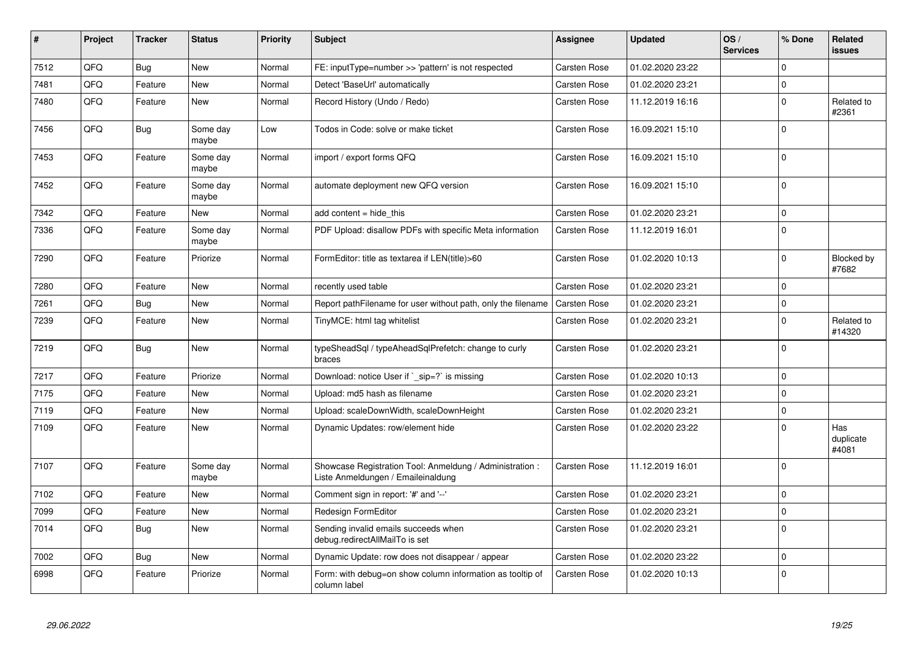| $\vert$ # | Project | <b>Tracker</b> | <b>Status</b>     | <b>Priority</b> | <b>Subject</b>                                                                                 | Assignee            | Updated          | OS/<br><b>Services</b> | % Done      | Related<br>issues         |
|-----------|---------|----------------|-------------------|-----------------|------------------------------------------------------------------------------------------------|---------------------|------------------|------------------------|-------------|---------------------------|
| 7512      | QFQ     | Bug            | <b>New</b>        | Normal          | FE: inputType=number >> 'pattern' is not respected                                             | <b>Carsten Rose</b> | 01.02.2020 23:22 |                        | $\Omega$    |                           |
| 7481      | QFQ     | Feature        | New               | Normal          | Detect 'BaseUrl' automatically                                                                 | Carsten Rose        | 01.02.2020 23:21 |                        | $\mathbf 0$ |                           |
| 7480      | QFQ     | Feature        | New               | Normal          | Record History (Undo / Redo)                                                                   | <b>Carsten Rose</b> | 11.12.2019 16:16 |                        | $\Omega$    | Related to<br>#2361       |
| 7456      | QFQ     | <b>Bug</b>     | Some day<br>maybe | Low             | Todos in Code: solve or make ticket                                                            | Carsten Rose        | 16.09.2021 15:10 |                        | $\Omega$    |                           |
| 7453      | QFQ     | Feature        | Some day<br>maybe | Normal          | import / export forms QFQ                                                                      | Carsten Rose        | 16.09.2021 15:10 |                        | $\Omega$    |                           |
| 7452      | QFQ     | Feature        | Some day<br>maybe | Normal          | automate deployment new QFQ version                                                            | <b>Carsten Rose</b> | 16.09.2021 15:10 |                        | $\Omega$    |                           |
| 7342      | QFQ     | Feature        | <b>New</b>        | Normal          | add content = hide this                                                                        | Carsten Rose        | 01.02.2020 23:21 |                        | $\mathbf 0$ |                           |
| 7336      | QFQ     | Feature        | Some day<br>maybe | Normal          | PDF Upload: disallow PDFs with specific Meta information                                       | <b>Carsten Rose</b> | 11.12.2019 16:01 |                        | $\Omega$    |                           |
| 7290      | QFQ     | Feature        | Priorize          | Normal          | FormEditor: title as textarea if LEN(title)>60                                                 | <b>Carsten Rose</b> | 01.02.2020 10:13 |                        | $\Omega$    | Blocked by<br>#7682       |
| 7280      | QFQ     | Feature        | <b>New</b>        | Normal          | recently used table                                                                            | Carsten Rose        | 01.02.2020 23:21 |                        | $\Omega$    |                           |
| 7261      | QFQ     | <b>Bug</b>     | <b>New</b>        | Normal          | Report pathFilename for user without path, only the filename                                   | <b>Carsten Rose</b> | 01.02.2020 23:21 |                        | $\Omega$    |                           |
| 7239      | QFQ     | Feature        | <b>New</b>        | Normal          | TinyMCE: html tag whitelist                                                                    | Carsten Rose        | 01.02.2020 23:21 |                        | $\Omega$    | Related to<br>#14320      |
| 7219      | QFQ     | Bug            | <b>New</b>        | Normal          | typeSheadSql / typeAheadSqlPrefetch: change to curly<br>braces                                 | Carsten Rose        | 01.02.2020 23:21 |                        | $\Omega$    |                           |
| 7217      | QFQ     | Feature        | Priorize          | Normal          | Download: notice User if ` sip=?` is missing                                                   | Carsten Rose        | 01.02.2020 10:13 |                        | $\Omega$    |                           |
| 7175      | QFQ     | Feature        | <b>New</b>        | Normal          | Upload: md5 hash as filename                                                                   | <b>Carsten Rose</b> | 01.02.2020 23:21 |                        | $\Omega$    |                           |
| 7119      | QFQ     | Feature        | <b>New</b>        | Normal          | Upload: scaleDownWidth, scaleDownHeight                                                        | Carsten Rose        | 01.02.2020 23:21 |                        | $\mathbf 0$ |                           |
| 7109      | QFQ     | Feature        | <b>New</b>        | Normal          | Dynamic Updates: row/element hide                                                              | Carsten Rose        | 01.02.2020 23:22 |                        | $\Omega$    | Has<br>duplicate<br>#4081 |
| 7107      | QFQ     | Feature        | Some day<br>maybe | Normal          | Showcase Registration Tool: Anmeldung / Administration :<br>Liste Anmeldungen / Emaileinaldung | <b>Carsten Rose</b> | 11.12.2019 16:01 |                        | $\Omega$    |                           |
| 7102      | QFQ     | Feature        | <b>New</b>        | Normal          | Comment sign in report: '#' and '--'                                                           | Carsten Rose        | 01.02.2020 23:21 |                        | $\Omega$    |                           |
| 7099      | QFQ     | Feature        | <b>New</b>        | Normal          | Redesign FormEditor                                                                            | <b>Carsten Rose</b> | 01.02.2020 23:21 |                        | $\Omega$    |                           |
| 7014      | QFQ     | Bug            | New               | Normal          | Sending invalid emails succeeds when<br>debug.redirectAllMailTo is set                         | <b>Carsten Rose</b> | 01.02.2020 23:21 |                        | $\Omega$    |                           |
| 7002      | QFQ     | Bug            | <b>New</b>        | Normal          | Dynamic Update: row does not disappear / appear                                                | <b>Carsten Rose</b> | 01.02.2020 23:22 |                        | $\Omega$    |                           |
| 6998      | QFQ     | Feature        | Priorize          | Normal          | Form: with debug=on show column information as tooltip of<br>column label                      | <b>Carsten Rose</b> | 01.02.2020 10:13 |                        | $\Omega$    |                           |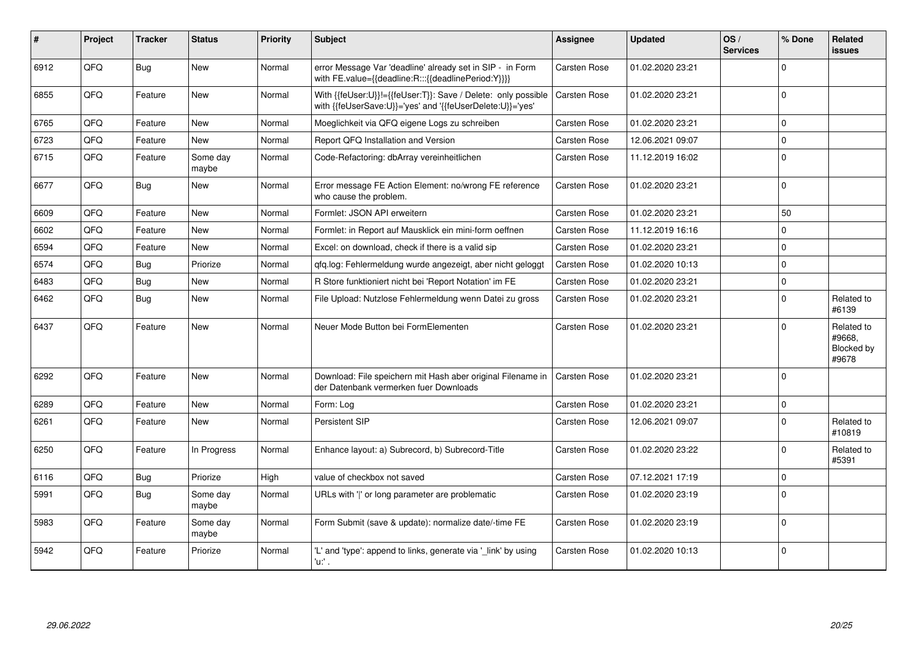| ∦    | Project | <b>Tracker</b> | <b>Status</b>     | <b>Priority</b> | <b>Subject</b>                                                                                                             | Assignee            | <b>Updated</b>   | OS/<br><b>Services</b> | % Done         | Related<br>issues                           |
|------|---------|----------------|-------------------|-----------------|----------------------------------------------------------------------------------------------------------------------------|---------------------|------------------|------------------------|----------------|---------------------------------------------|
| 6912 | QFQ     | Bug            | New               | Normal          | error Message Var 'deadline' already set in SIP - in Form<br>with FE.value={{deadline:R:::{{deadlinePeriod:Y}}}}           | Carsten Rose        | 01.02.2020 23:21 |                        | $\Omega$       |                                             |
| 6855 | QFQ     | Feature        | <b>New</b>        | Normal          | With {{feUser:U}}!={{feUser:T}}: Save / Delete: only possible<br>with {{feUserSave:U}}='yes' and '{{feUserDelete:U}}='yes' | Carsten Rose        | 01.02.2020 23:21 |                        | $\Omega$       |                                             |
| 6765 | QFQ     | Feature        | <b>New</b>        | Normal          | Moeglichkeit via QFQ eigene Logs zu schreiben                                                                              | Carsten Rose        | 01.02.2020 23:21 |                        | 0              |                                             |
| 6723 | QFQ     | Feature        | <b>New</b>        | Normal          | Report QFQ Installation and Version                                                                                        | Carsten Rose        | 12.06.2021 09:07 |                        | $\mathbf 0$    |                                             |
| 6715 | QFQ     | Feature        | Some day<br>maybe | Normal          | Code-Refactoring: dbArray vereinheitlichen                                                                                 | Carsten Rose        | 11.12.2019 16:02 |                        | $\Omega$       |                                             |
| 6677 | QFQ     | Bug            | <b>New</b>        | Normal          | Error message FE Action Element: no/wrong FE reference<br>who cause the problem.                                           | Carsten Rose        | 01.02.2020 23:21 |                        | $\Omega$       |                                             |
| 6609 | QFQ     | Feature        | <b>New</b>        | Normal          | Formlet: JSON API erweitern                                                                                                | Carsten Rose        | 01.02.2020 23:21 |                        | 50             |                                             |
| 6602 | QFQ     | Feature        | <b>New</b>        | Normal          | Formlet: in Report auf Mausklick ein mini-form oeffnen                                                                     | <b>Carsten Rose</b> | 11.12.2019 16:16 |                        | $\Omega$       |                                             |
| 6594 | QFQ     | Feature        | <b>New</b>        | Normal          | Excel: on download, check if there is a valid sip                                                                          | Carsten Rose        | 01.02.2020 23:21 |                        | $\Omega$       |                                             |
| 6574 | QFQ     | Bug            | Priorize          | Normal          | qfq.log: Fehlermeldung wurde angezeigt, aber nicht geloggt                                                                 | <b>Carsten Rose</b> | 01.02.2020 10:13 |                        | $\Omega$       |                                             |
| 6483 | QFQ     | Bug            | <b>New</b>        | Normal          | R Store funktioniert nicht bei 'Report Notation' im FE                                                                     | Carsten Rose        | 01.02.2020 23:21 |                        | $\Omega$       |                                             |
| 6462 | QFQ     | Bug            | New               | Normal          | File Upload: Nutzlose Fehlermeldung wenn Datei zu gross                                                                    | Carsten Rose        | 01.02.2020 23:21 |                        | $\Omega$       | Related to<br>#6139                         |
| 6437 | QFQ     | Feature        | <b>New</b>        | Normal          | Neuer Mode Button bei FormElementen                                                                                        | Carsten Rose        | 01.02.2020 23:21 |                        | $\Omega$       | Related to<br>#9668.<br>Blocked by<br>#9678 |
| 6292 | QFG     | Feature        | <b>New</b>        | Normal          | Download: File speichern mit Hash aber original Filename in<br>der Datenbank vermerken fuer Downloads                      | <b>Carsten Rose</b> | 01.02.2020 23:21 |                        | $\overline{0}$ |                                             |
| 6289 | QFQ     | Feature        | <b>New</b>        | Normal          | Form: Log                                                                                                                  | <b>Carsten Rose</b> | 01.02.2020 23:21 |                        | $\Omega$       |                                             |
| 6261 | QFQ     | Feature        | New               | Normal          | <b>Persistent SIP</b>                                                                                                      | Carsten Rose        | 12.06.2021 09:07 |                        | $\Omega$       | Related to<br>#10819                        |
| 6250 | QFQ     | Feature        | In Progress       | Normal          | Enhance layout: a) Subrecord, b) Subrecord-Title                                                                           | <b>Carsten Rose</b> | 01.02.2020 23:22 |                        | $\Omega$       | Related to<br>#5391                         |
| 6116 | QFQ     | Bug            | Priorize          | High            | value of checkbox not saved                                                                                                | Carsten Rose        | 07.12.2021 17:19 |                        | $\Omega$       |                                             |
| 5991 | QFQ     | Bug            | Some day<br>maybe | Normal          | URLs with 'I' or long parameter are problematic                                                                            | Carsten Rose        | 01.02.2020 23:19 |                        | $\Omega$       |                                             |
| 5983 | QFQ     | Feature        | Some day<br>maybe | Normal          | Form Submit (save & update): normalize date/-time FE                                                                       | Carsten Rose        | 01.02.2020 23:19 |                        | $\Omega$       |                                             |
| 5942 | QFQ     | Feature        | Priorize          | Normal          | 'L' and 'type': append to links, generate via 'link' by using<br>'u. .                                                     | Carsten Rose        | 01.02.2020 10:13 |                        | $\Omega$       |                                             |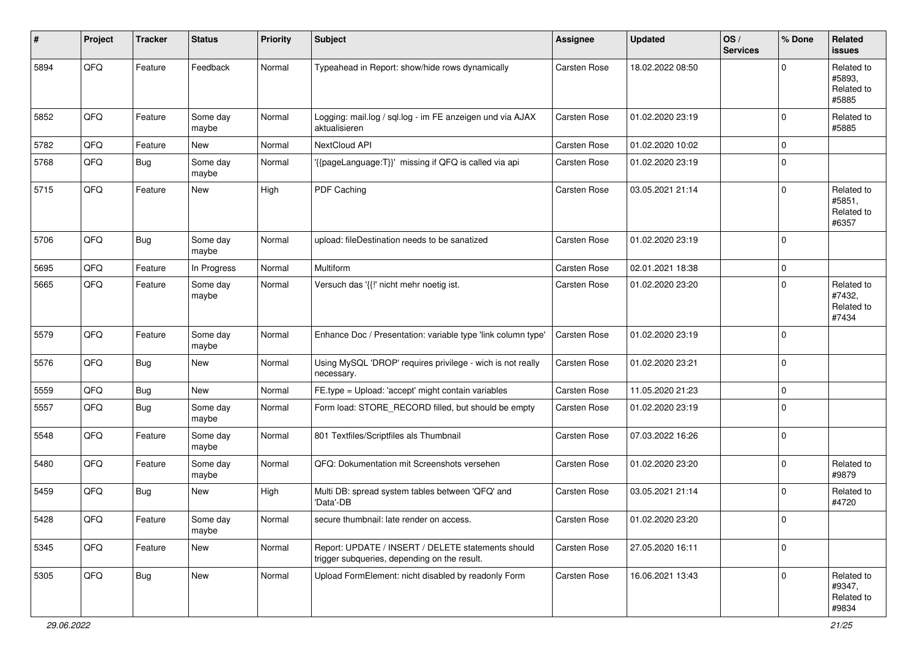| #    | Project        | <b>Tracker</b> | <b>Status</b>     | <b>Priority</b> | <b>Subject</b>                                                                                     | <b>Assignee</b>     | <b>Updated</b>   | OS/<br><b>Services</b> | % Done      | Related<br><b>issues</b>                    |
|------|----------------|----------------|-------------------|-----------------|----------------------------------------------------------------------------------------------------|---------------------|------------------|------------------------|-------------|---------------------------------------------|
| 5894 | QFQ            | Feature        | Feedback          | Normal          | Typeahead in Report: show/hide rows dynamically                                                    | <b>Carsten Rose</b> | 18.02.2022 08:50 |                        | $\Omega$    | Related to<br>#5893.<br>Related to<br>#5885 |
| 5852 | QFQ            | Feature        | Some day<br>maybe | Normal          | Logging: mail.log / sql.log - im FE anzeigen und via AJAX<br>aktualisieren                         | Carsten Rose        | 01.02.2020 23:19 |                        | $\Omega$    | Related to<br>#5885                         |
| 5782 | QFQ            | Feature        | New               | Normal          | NextCloud API                                                                                      | Carsten Rose        | 01.02.2020 10:02 |                        | $\mathbf 0$ |                                             |
| 5768 | QFQ            | Bug            | Some day<br>maybe | Normal          | '{{pageLanguage:T}}' missing if QFQ is called via api                                              | Carsten Rose        | 01.02.2020 23:19 |                        | $\Omega$    |                                             |
| 5715 | QFQ            | Feature        | New               | High            | PDF Caching                                                                                        | Carsten Rose        | 03.05.2021 21:14 |                        | $\Omega$    | Related to<br>#5851,<br>Related to<br>#6357 |
| 5706 | QFQ            | Bug            | Some day<br>maybe | Normal          | upload: fileDestination needs to be sanatized                                                      | Carsten Rose        | 01.02.2020 23:19 |                        | $\mathbf 0$ |                                             |
| 5695 | QFQ            | Feature        | In Progress       | Normal          | Multiform                                                                                          | Carsten Rose        | 02.01.2021 18:38 |                        | $\mathbf 0$ |                                             |
| 5665 | QFQ            | Feature        | Some day<br>maybe | Normal          | Versuch das '{{!' nicht mehr noetig ist.                                                           | Carsten Rose        | 01.02.2020 23:20 |                        | $\Omega$    | Related to<br>#7432,<br>Related to<br>#7434 |
| 5579 | QFQ            | Feature        | Some day<br>maybe | Normal          | Enhance Doc / Presentation: variable type 'link column type'                                       | Carsten Rose        | 01.02.2020 23:19 |                        | $\mathbf 0$ |                                             |
| 5576 | QFQ            | <b>Bug</b>     | <b>New</b>        | Normal          | Using MySQL 'DROP' requires privilege - wich is not really<br>necessary.                           | Carsten Rose        | 01.02.2020 23:21 |                        | $\mathbf 0$ |                                             |
| 5559 | QFQ            | <b>Bug</b>     | New               | Normal          | FE.type = Upload: 'accept' might contain variables                                                 | Carsten Rose        | 11.05.2020 21:23 |                        | $\mathbf 0$ |                                             |
| 5557 | QFQ            | <b>Bug</b>     | Some day<br>maybe | Normal          | Form load: STORE_RECORD filled, but should be empty                                                | Carsten Rose        | 01.02.2020 23:19 |                        | 0           |                                             |
| 5548 | QFQ            | Feature        | Some day<br>maybe | Normal          | 801 Textfiles/Scriptfiles als Thumbnail                                                            | Carsten Rose        | 07.03.2022 16:26 |                        | $\mathbf 0$ |                                             |
| 5480 | QFQ            | Feature        | Some day<br>maybe | Normal          | QFQ: Dokumentation mit Screenshots versehen                                                        | Carsten Rose        | 01.02.2020 23:20 |                        | 0           | Related to<br>#9879                         |
| 5459 | QFQ            | <b>Bug</b>     | New               | High            | Multi DB: spread system tables between 'QFQ' and<br>'Data'-DB                                      | Carsten Rose        | 03.05.2021 21:14 |                        | $\mathbf 0$ | Related to<br>#4720                         |
| 5428 | $\mathsf{QFQ}$ | Feature        | Some day<br>maybe | Normal          | secure thumbnail: late render on access.                                                           | Carsten Rose        | 01.02.2020 23:20 |                        | $\mathbf 0$ |                                             |
| 5345 | QFQ            | Feature        | New               | Normal          | Report: UPDATE / INSERT / DELETE statements should<br>trigger subqueries, depending on the result. | Carsten Rose        | 27.05.2020 16:11 |                        | $\mathbf 0$ |                                             |
| 5305 | QFQ            | <b>Bug</b>     | New               | Normal          | Upload FormElement: nicht disabled by readonly Form                                                | Carsten Rose        | 16.06.2021 13:43 |                        | $\mathbf 0$ | Related to<br>#9347,<br>Related to<br>#9834 |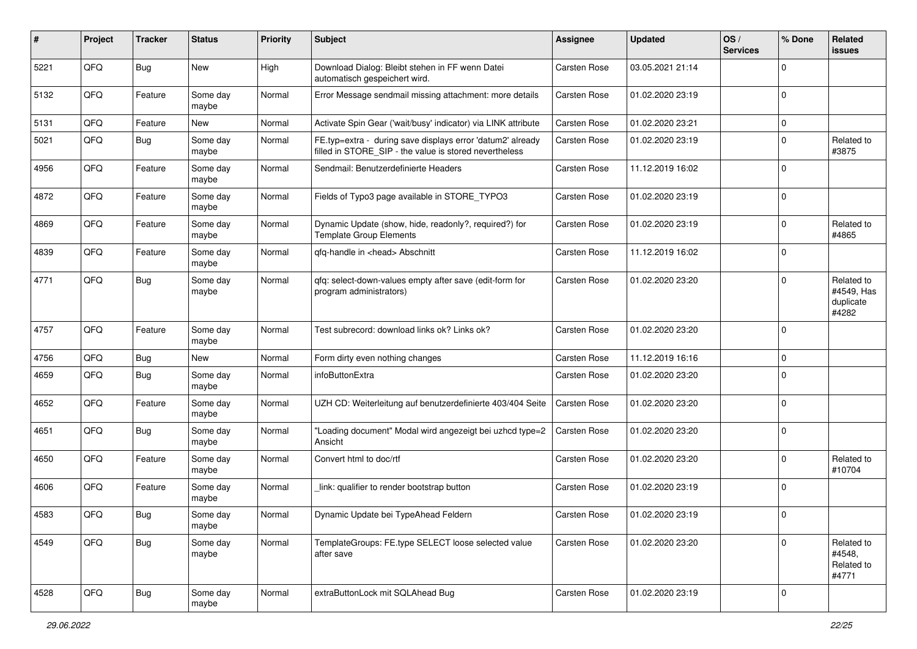| $\sharp$ | Project | <b>Tracker</b> | <b>Status</b>     | <b>Priority</b> | <b>Subject</b>                                                                                                       | <b>Assignee</b> | <b>Updated</b>   | OS/<br><b>Services</b> | % Done         | Related<br><b>issues</b>                       |
|----------|---------|----------------|-------------------|-----------------|----------------------------------------------------------------------------------------------------------------------|-----------------|------------------|------------------------|----------------|------------------------------------------------|
| 5221     | QFQ     | <b>Bug</b>     | New               | High            | Download Dialog: Bleibt stehen in FF wenn Datei<br>automatisch gespeichert wird.                                     | Carsten Rose    | 03.05.2021 21:14 |                        | $\Omega$       |                                                |
| 5132     | QFQ     | Feature        | Some day<br>maybe | Normal          | Error Message sendmail missing attachment: more details                                                              | Carsten Rose    | 01.02.2020 23:19 |                        | 0              |                                                |
| 5131     | QFQ     | Feature        | New               | Normal          | Activate Spin Gear ('wait/busy' indicator) via LINK attribute                                                        | Carsten Rose    | 01.02.2020 23:21 |                        | $\mathbf 0$    |                                                |
| 5021     | QFQ     | <b>Bug</b>     | Some day<br>maybe | Normal          | FE.typ=extra - during save displays error 'datum2' already<br>filled in STORE_SIP - the value is stored nevertheless | Carsten Rose    | 01.02.2020 23:19 |                        | $\Omega$       | Related to<br>#3875                            |
| 4956     | QFQ     | Feature        | Some day<br>maybe | Normal          | Sendmail: Benutzerdefinierte Headers                                                                                 | Carsten Rose    | 11.12.2019 16:02 |                        | $\Omega$       |                                                |
| 4872     | QFQ     | Feature        | Some day<br>maybe | Normal          | Fields of Typo3 page available in STORE_TYPO3                                                                        | Carsten Rose    | 01.02.2020 23:19 |                        | $\mathbf 0$    |                                                |
| 4869     | QFQ     | Feature        | Some day<br>maybe | Normal          | Dynamic Update (show, hide, readonly?, required?) for<br><b>Template Group Elements</b>                              | Carsten Rose    | 01.02.2020 23:19 |                        | $\mathbf 0$    | Related to<br>#4865                            |
| 4839     | QFQ     | Feature        | Some day<br>maybe | Normal          | qfq-handle in <head> Abschnitt</head>                                                                                | Carsten Rose    | 11.12.2019 16:02 |                        | 0              |                                                |
| 4771     | QFQ     | <b>Bug</b>     | Some day<br>maybe | Normal          | gfg: select-down-values empty after save (edit-form for<br>program administrators)                                   | Carsten Rose    | 01.02.2020 23:20 |                        | $\Omega$       | Related to<br>#4549, Has<br>duplicate<br>#4282 |
| 4757     | QFQ     | Feature        | Some day<br>maybe | Normal          | Test subrecord: download links ok? Links ok?                                                                         | Carsten Rose    | 01.02.2020 23:20 |                        | 0              |                                                |
| 4756     | QFQ     | <b>Bug</b>     | New               | Normal          | Form dirty even nothing changes                                                                                      | Carsten Rose    | 11.12.2019 16:16 |                        | $\mathbf 0$    |                                                |
| 4659     | QFQ     | Bug            | Some day<br>maybe | Normal          | infoButtonExtra                                                                                                      | Carsten Rose    | 01.02.2020 23:20 |                        | $\Omega$       |                                                |
| 4652     | QFQ     | Feature        | Some day<br>maybe | Normal          | UZH CD: Weiterleitung auf benutzerdefinierte 403/404 Seite                                                           | Carsten Rose    | 01.02.2020 23:20 |                        | $\mathbf 0$    |                                                |
| 4651     | QFQ     | <b>Bug</b>     | Some day<br>maybe | Normal          | "Loading document" Modal wird angezeigt bei uzhcd type=2<br>Ansicht                                                  | Carsten Rose    | 01.02.2020 23:20 |                        | $\Omega$       |                                                |
| 4650     | QFQ     | Feature        | Some day<br>maybe | Normal          | Convert html to doc/rtf                                                                                              | Carsten Rose    | 01.02.2020 23:20 |                        | $\mathbf 0$    | Related to<br>#10704                           |
| 4606     | QFQ     | Feature        | Some day<br>maybe | Normal          | link: qualifier to render bootstrap button                                                                           | Carsten Rose    | 01.02.2020 23:19 |                        | 0              |                                                |
| 4583     | QFQ     | <b>Bug</b>     | Some day<br>maybe | Normal          | Dynamic Update bei TypeAhead Feldern                                                                                 | Carsten Rose    | 01.02.2020 23:19 |                        | 0              |                                                |
| 4549     | QFQ     | Bug            | Some day<br>maybe | Normal          | TemplateGroups: FE.type SELECT loose selected value<br>after save                                                    | Carsten Rose    | 01.02.2020 23:20 |                        | $\mathbf 0$    | Related to<br>#4548,<br>Related to<br>#4771    |
| 4528     | QFQ     | Bug            | Some day<br>maybe | Normal          | extraButtonLock mit SQLAhead Bug                                                                                     | Carsten Rose    | 01.02.2020 23:19 |                        | $\overline{0}$ |                                                |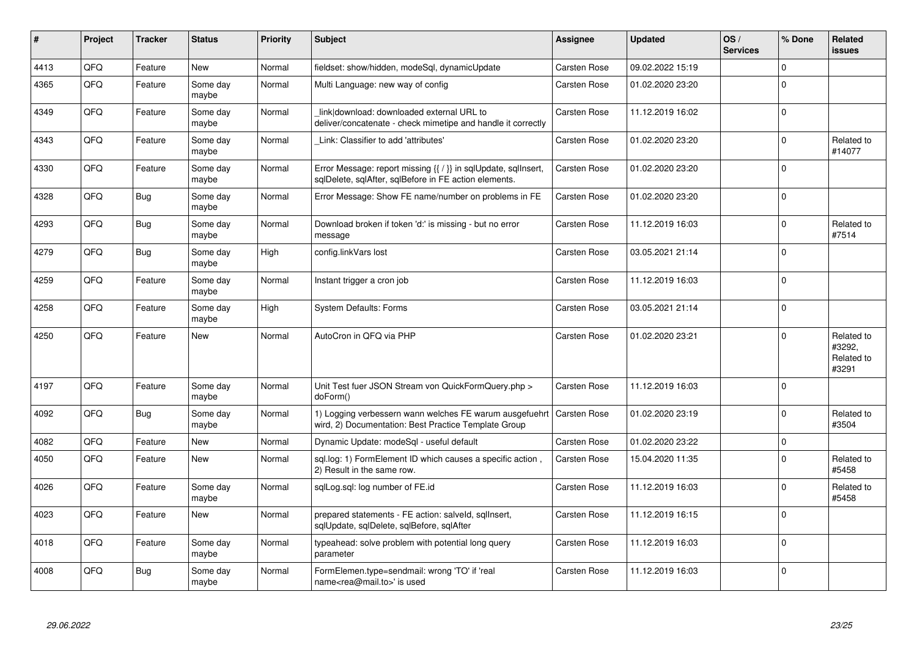| $\sharp$ | Project | <b>Tracker</b> | <b>Status</b>     | <b>Priority</b> | <b>Subject</b>                                                                                                          | Assignee            | <b>Updated</b>   | OS/<br><b>Services</b> | % Done      | Related<br><b>issues</b>                    |
|----------|---------|----------------|-------------------|-----------------|-------------------------------------------------------------------------------------------------------------------------|---------------------|------------------|------------------------|-------------|---------------------------------------------|
| 4413     | QFQ     | Feature        | <b>New</b>        | Normal          | fieldset: show/hidden, modeSql, dynamicUpdate                                                                           | Carsten Rose        | 09.02.2022 15:19 |                        | $\Omega$    |                                             |
| 4365     | QFQ     | Feature        | Some day<br>maybe | Normal          | Multi Language: new way of config                                                                                       | Carsten Rose        | 01.02.2020 23:20 |                        | $\Omega$    |                                             |
| 4349     | QFQ     | Feature        | Some day<br>maybe | Normal          | link download: downloaded external URL to<br>deliver/concatenate - check mimetipe and handle it correctly               | Carsten Rose        | 11.12.2019 16:02 |                        | $\mathbf 0$ |                                             |
| 4343     | QFQ     | Feature        | Some day<br>maybe | Normal          | Link: Classifier to add 'attributes'                                                                                    | Carsten Rose        | 01.02.2020 23:20 |                        | $\Omega$    | Related to<br>#14077                        |
| 4330     | QFQ     | Feature        | Some day<br>maybe | Normal          | Error Message: report missing {{ / }} in sqlUpdate, sqlInsert,<br>sqlDelete, sqlAfter, sqlBefore in FE action elements. | Carsten Rose        | 01.02.2020 23:20 |                        | $\Omega$    |                                             |
| 4328     | QFQ     | <b>Bug</b>     | Some day<br>maybe | Normal          | Error Message: Show FE name/number on problems in FE                                                                    | Carsten Rose        | 01.02.2020 23:20 |                        | $\Omega$    |                                             |
| 4293     | QFQ     | <b>Bug</b>     | Some day<br>maybe | Normal          | Download broken if token 'd:' is missing - but no error<br>message                                                      | Carsten Rose        | 11.12.2019 16:03 |                        | $\Omega$    | Related to<br>#7514                         |
| 4279     | QFQ     | <b>Bug</b>     | Some day<br>maybe | High            | config.linkVars lost                                                                                                    | Carsten Rose        | 03.05.2021 21:14 |                        | $\Omega$    |                                             |
| 4259     | QFQ     | Feature        | Some day<br>maybe | Normal          | Instant trigger a cron job                                                                                              | Carsten Rose        | 11.12.2019 16:03 |                        | $\mathbf 0$ |                                             |
| 4258     | QFQ     | Feature        | Some day<br>maybe | High            | <b>System Defaults: Forms</b>                                                                                           | Carsten Rose        | 03.05.2021 21:14 |                        | $\Omega$    |                                             |
| 4250     | QFQ     | Feature        | <b>New</b>        | Normal          | AutoCron in QFQ via PHP                                                                                                 | Carsten Rose        | 01.02.2020 23:21 |                        | $\Omega$    | Related to<br>#3292,<br>Related to<br>#3291 |
| 4197     | QFQ     | Feature        | Some day<br>maybe | Normal          | Unit Test fuer JSON Stream von QuickFormQuery.php ><br>doForm()                                                         | Carsten Rose        | 11.12.2019 16:03 |                        | $\Omega$    |                                             |
| 4092     | QFQ     | Bug            | Some day<br>maybe | Normal          | 1) Logging verbessern wann welches FE warum ausgefuehrt<br>wird, 2) Documentation: Best Practice Template Group         | <b>Carsten Rose</b> | 01.02.2020 23:19 |                        | $\Omega$    | Related to<br>#3504                         |
| 4082     | QFQ     | Feature        | <b>New</b>        | Normal          | Dynamic Update: modeSql - useful default                                                                                | Carsten Rose        | 01.02.2020 23:22 |                        | $\pmb{0}$   |                                             |
| 4050     | QFQ     | Feature        | New               | Normal          | sql.log: 1) FormElement ID which causes a specific action,<br>2) Result in the same row.                                | Carsten Rose        | 15.04.2020 11:35 |                        | $\Omega$    | Related to<br>#5458                         |
| 4026     | QFQ     | Feature        | Some day<br>maybe | Normal          | sqlLog.sql: log number of FE.id                                                                                         | Carsten Rose        | 11.12.2019 16:03 |                        | $\Omega$    | Related to<br>#5458                         |
| 4023     | QFQ     | Feature        | <b>New</b>        | Normal          | prepared statements - FE action: salveld, sqllnsert,<br>sqlUpdate, sqlDelete, sqlBefore, sqlAfter                       | Carsten Rose        | 11.12.2019 16:15 |                        | $\Omega$    |                                             |
| 4018     | QFQ     | Feature        | Some day<br>maybe | Normal          | typeahead: solve problem with potential long query<br>parameter                                                         | Carsten Rose        | 11.12.2019 16:03 |                        | $\Omega$    |                                             |
| 4008     | QFQ     | <b>Bug</b>     | Some day<br>maybe | Normal          | FormElemen.type=sendmail: wrong 'TO' if 'real<br>name <rea@mail.to>' is used</rea@mail.to>                              | Carsten Rose        | 11.12.2019 16:03 |                        | $\Omega$    |                                             |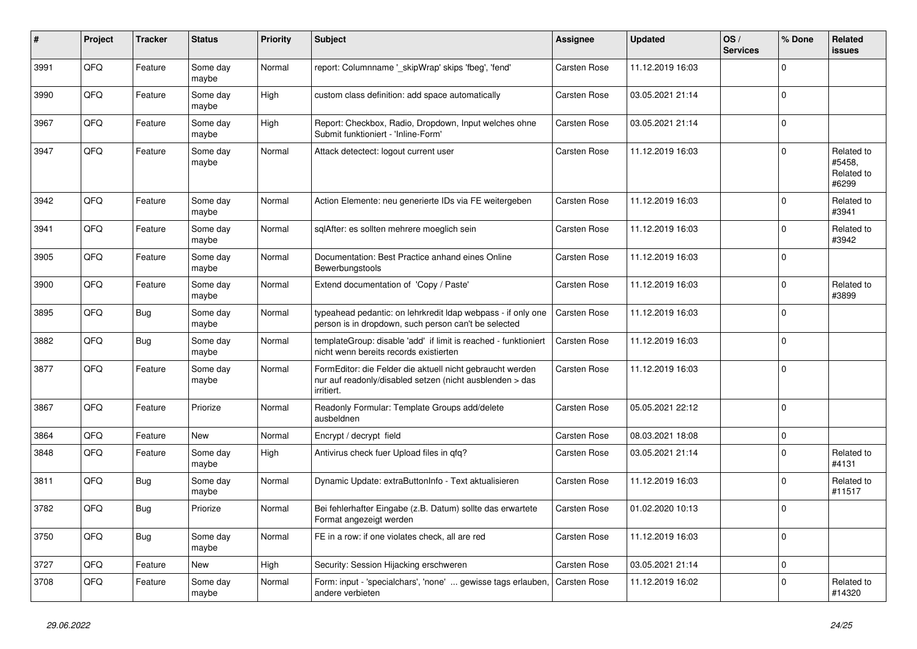| #    | Project | <b>Tracker</b> | <b>Status</b>     | <b>Priority</b> | Subject                                                                                                                             | <b>Assignee</b>     | <b>Updated</b>   | OS/<br><b>Services</b> | % Done         | Related<br>issues                           |
|------|---------|----------------|-------------------|-----------------|-------------------------------------------------------------------------------------------------------------------------------------|---------------------|------------------|------------------------|----------------|---------------------------------------------|
| 3991 | QFQ     | Feature        | Some day<br>maybe | Normal          | report: Columnname '_skipWrap' skips 'fbeg', 'fend'                                                                                 | Carsten Rose        | 11.12.2019 16:03 |                        | $\Omega$       |                                             |
| 3990 | QFQ     | Feature        | Some day<br>maybe | High            | custom class definition: add space automatically                                                                                    | Carsten Rose        | 03.05.2021 21:14 |                        | $\mathbf 0$    |                                             |
| 3967 | QFQ     | Feature        | Some day<br>maybe | High            | Report: Checkbox, Radio, Dropdown, Input welches ohne<br>Submit funktioniert - 'Inline-Form'                                        | Carsten Rose        | 03.05.2021 21:14 |                        | $\Omega$       |                                             |
| 3947 | QFQ     | Feature        | Some day<br>maybe | Normal          | Attack detectect: logout current user                                                                                               | Carsten Rose        | 11.12.2019 16:03 |                        | $\mathbf 0$    | Related to<br>#5458,<br>Related to<br>#6299 |
| 3942 | QFQ     | Feature        | Some day<br>maybe | Normal          | Action Elemente: neu generierte IDs via FE weitergeben                                                                              | Carsten Rose        | 11.12.2019 16:03 |                        | $\Omega$       | Related to<br>#3941                         |
| 3941 | QFQ     | Feature        | Some day<br>maybe | Normal          | sqlAfter: es sollten mehrere moeglich sein                                                                                          | Carsten Rose        | 11.12.2019 16:03 |                        | $\mathbf 0$    | Related to<br>#3942                         |
| 3905 | QFQ     | Feature        | Some day<br>maybe | Normal          | Documentation: Best Practice anhand eines Online<br>Bewerbungstools                                                                 | Carsten Rose        | 11.12.2019 16:03 |                        | $\mathbf 0$    |                                             |
| 3900 | QFQ     | Feature        | Some day<br>maybe | Normal          | Extend documentation of 'Copy / Paste'                                                                                              | Carsten Rose        | 11.12.2019 16:03 |                        | $\mathbf 0$    | Related to<br>#3899                         |
| 3895 | QFQ     | <b>Bug</b>     | Some day<br>maybe | Normal          | typeahead pedantic: on lehrkredit Idap webpass - if only one<br>person is in dropdown, such person can't be selected                | Carsten Rose        | 11.12.2019 16:03 |                        | $\Omega$       |                                             |
| 3882 | QFQ     | Bug            | Some day<br>maybe | Normal          | templateGroup: disable 'add' if limit is reached - funktioniert<br>nicht wenn bereits records existierten                           | <b>Carsten Rose</b> | 11.12.2019 16:03 |                        | $\mathbf 0$    |                                             |
| 3877 | QFQ     | Feature        | Some day<br>maybe | Normal          | FormEditor: die Felder die aktuell nicht gebraucht werden<br>nur auf readonly/disabled setzen (nicht ausblenden > das<br>irritiert. | Carsten Rose        | 11.12.2019 16:03 |                        | $\overline{0}$ |                                             |
| 3867 | QFQ     | Feature        | Priorize          | Normal          | Readonly Formular: Template Groups add/delete<br>ausbeldnen                                                                         | Carsten Rose        | 05.05.2021 22:12 |                        | 0              |                                             |
| 3864 | QFQ     | Feature        | <b>New</b>        | Normal          | Encrypt / decrypt field                                                                                                             | Carsten Rose        | 08.03.2021 18:08 |                        | $\mathbf 0$    |                                             |
| 3848 | QFQ     | Feature        | Some day<br>maybe | High            | Antivirus check fuer Upload files in qfq?                                                                                           | Carsten Rose        | 03.05.2021 21:14 |                        | $\Omega$       | Related to<br>#4131                         |
| 3811 | QFQ     | Bug            | Some day<br>maybe | Normal          | Dynamic Update: extraButtonInfo - Text aktualisieren                                                                                | Carsten Rose        | 11.12.2019 16:03 |                        | $\mathbf 0$    | Related to<br>#11517                        |
| 3782 | QFQ     | <b>Bug</b>     | Priorize          | Normal          | Bei fehlerhafter Eingabe (z.B. Datum) sollte das erwartete<br>Format angezeigt werden                                               | Carsten Rose        | 01.02.2020 10:13 |                        | $\Omega$       |                                             |
| 3750 | QFG     | <b>Bug</b>     | Some day<br>maybe | Normal          | FE in a row: if one violates check, all are red                                                                                     | Carsten Rose        | 11.12.2019 16:03 |                        | $\mathbf 0$    |                                             |
| 3727 | QFQ     | Feature        | New               | High            | Security: Session Hijacking erschweren                                                                                              | Carsten Rose        | 03.05.2021 21:14 |                        | 0              |                                             |
| 3708 | QFQ     | Feature        | Some day<br>maybe | Normal          | Form: input - 'specialchars', 'none'  gewisse tags erlauben,<br>andere verbieten                                                    | Carsten Rose        | 11.12.2019 16:02 |                        | $\mathbf 0$    | Related to<br>#14320                        |